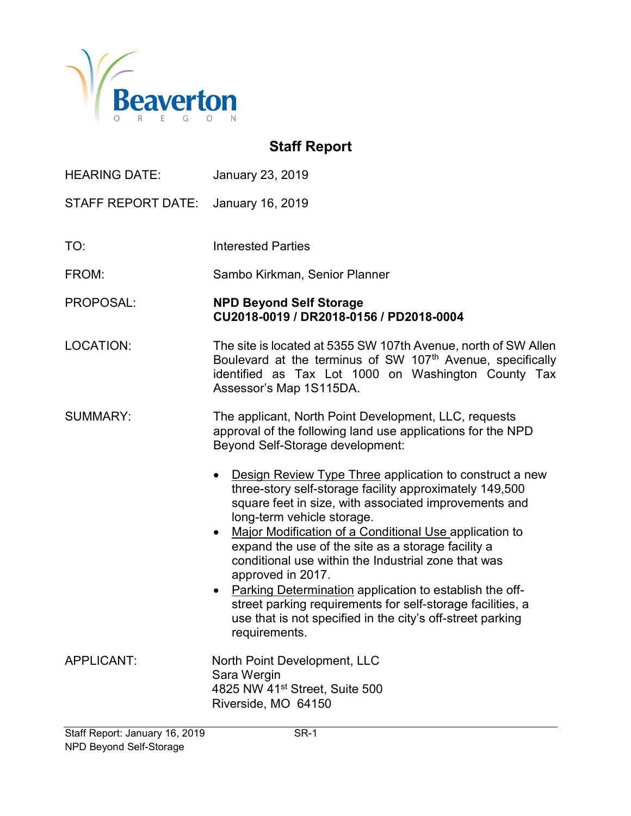

# Staff Report

| <b>HEARING DATE:</b>      | January 23, 2019                                                                                                                                                                                                                                                                                                          |
|---------------------------|---------------------------------------------------------------------------------------------------------------------------------------------------------------------------------------------------------------------------------------------------------------------------------------------------------------------------|
| <b>STAFF REPORT DATE:</b> | January 16, 2019                                                                                                                                                                                                                                                                                                          |
| TO:                       | <b>Interested Parties</b>                                                                                                                                                                                                                                                                                                 |
| FROM:                     | Sambo Kirkman, Senior Planner                                                                                                                                                                                                                                                                                             |
| PROPOSAL:                 | <b>NPD Beyond Self Storage</b><br>CU2018-0019 / DR2018-0156 / PD2018-0004                                                                                                                                                                                                                                                 |
| <b>LOCATION:</b>          | The site is located at 5355 SW 107th Avenue, north of SW Allen<br>Boulevard at the terminus of SW 107th Avenue, specifically<br>identified as Tax Lot 1000 on Washington County Tax<br>Assessor's Map 1S115DA.                                                                                                            |
| <b>SUMMARY:</b>           | The applicant, North Point Development, LLC, requests<br>approval of the following land use applications for the NPD<br>Beyond Self-Storage development:                                                                                                                                                                  |
|                           | Design Review Type Three application to construct a new<br>three-story self-storage facility approximately 149,500<br>square feet in size, with associated improvements and<br>long-term vehicle storage.<br>Major Modification of a Conditional Use application to<br>expand the use of the site as a storage facility a |
|                           | conditional use within the Industrial zone that was<br>approved in 2017.<br>Parking Determination application to establish the off-<br>street parking requirements for self-storage facilities, a<br>use that is not specified in the city's off-street parking<br>requirements.                                          |
| APPLICANT:                | North Point Development, LLC<br>Sara Wergin<br>4825 NW 41 <sup>st</sup> Street, Suite 500<br>Riverside, MO 64150                                                                                                                                                                                                          |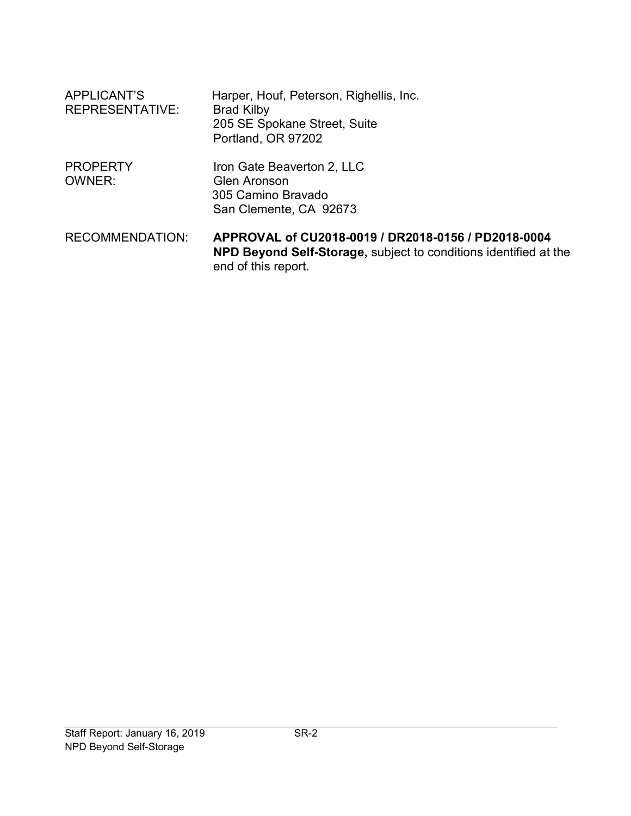| APPLICANT'S<br><b>REPRESENTATIVE:</b> | Harper, Houf, Peterson, Righellis, Inc.<br><b>Brad Kilby</b><br>205 SE Spokane Street, Suite<br>Portland, OR 97202      |
|---------------------------------------|-------------------------------------------------------------------------------------------------------------------------|
| <b>PROPERTY</b><br><b>OWNER:</b>      | Iron Gate Beaverton 2, LLC<br><b>Glen Aronson</b><br>305 Camino Bravado<br>San Clemente, CA 92673                       |
| <b>RECOMMENDATION:</b>                | APPROVAL of CU2018-0019 / DR2018-0156 / PD2018-0004<br>NPD Beyond Self-Storage, subject to conditions identified at the |

end of this report.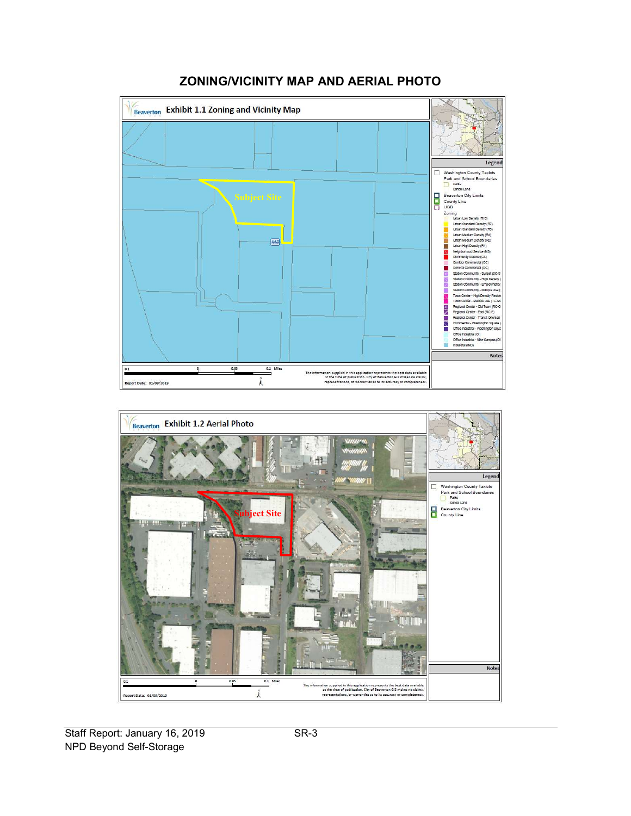

# ZONING/VICINITY MAP AND AERIAL PHOTO



Staff Report: January 16, 2019 SR-3 NPD Beyond Self-Storage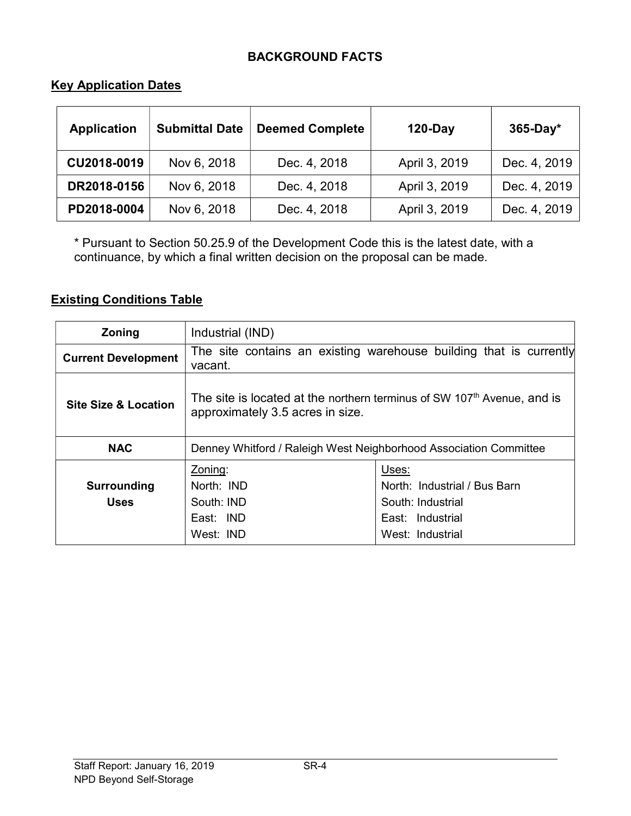# BACKGROUND FACTS

### **Key Application Dates**

| <b>Application</b> | <b>Submittal Date</b> | <b>Deemed Complete</b> | $120$ -Day    | $365-Day*$   |
|--------------------|-----------------------|------------------------|---------------|--------------|
| CU2018-0019        | Nov 6, 2018           | Dec. 4, 2018           | April 3, 2019 | Dec. 4, 2019 |
| DR2018-0156        | Nov 6, 2018           | Dec. 4, 2018           | April 3, 2019 | Dec. 4, 2019 |
| PD2018-0004        | Nov 6, 2018           | Dec. 4, 2018           | April 3, 2019 | Dec. 4, 2019 |

\* Pursuant to Section 50.25.9 of the Development Code this is the latest date, with a continuance, by which a final written decision on the proposal can be made.

## Existing Conditions Table

| <b>Zoning</b>                   | Industrial (IND)                                                                                                                                                           |  |  |
|---------------------------------|----------------------------------------------------------------------------------------------------------------------------------------------------------------------------|--|--|
| <b>Current Development</b>      | The site contains an existing warehouse building that is currently<br>vacant.                                                                                              |  |  |
| <b>Site Size &amp; Location</b> | The site is located at the northern terminus of SW 107 <sup>th</sup> Avenue, and is<br>approximately 3.5 acres in size.                                                    |  |  |
| <b>NAC</b>                      | Denney Whitford / Raleigh West Neighborhood Association Committee                                                                                                          |  |  |
| Surrounding<br><b>Uses</b>      | Zoning:<br>Uses:<br>North: Industrial / Bus Barn<br>North: <b>IND</b><br>South: IND<br>South: Industrial<br>East: IND<br>East: Industrial<br>West: IND<br>West: Industrial |  |  |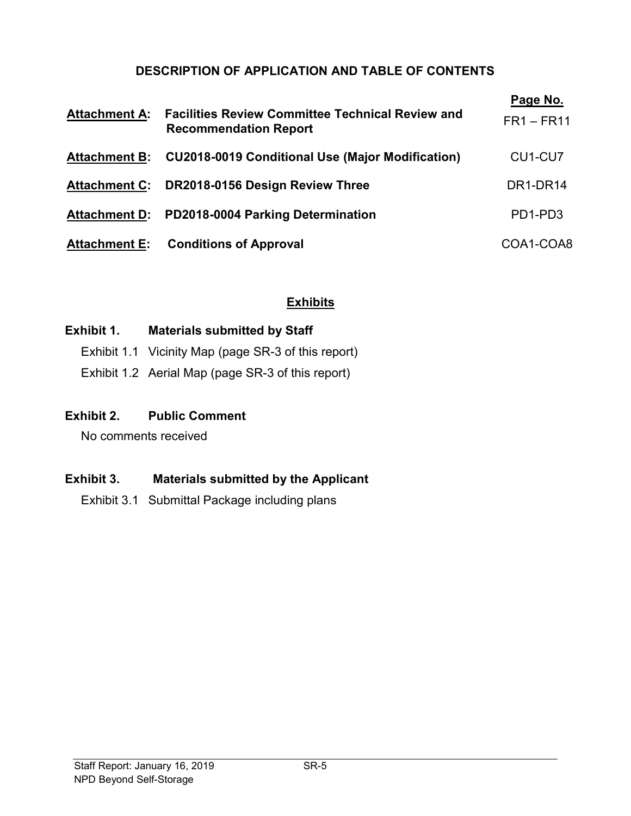# DESCRIPTION OF APPLICATION AND TABLE OF CONTENTS

| <b>Attachment A:</b> | <b>Facilities Review Committee Technical Review and</b><br><b>Recommendation Report</b> | Page No.<br>$FR1 - FR11$         |
|----------------------|-----------------------------------------------------------------------------------------|----------------------------------|
| <b>Attachment B:</b> | <b>CU2018-0019 Conditional Use (Major Modification)</b>                                 | CU1-CU7                          |
|                      | Attachment C: DR2018-0156 Design Review Three                                           | DR1-DR14                         |
| <b>Attachment D:</b> | PD2018-0004 Parking Determination                                                       | PD <sub>1</sub> -PD <sub>3</sub> |
|                      | <b>Attachment E:</b> Conditions of Approval                                             | COA1-COA8                        |

# Exhibits

### Exhibit 1. Materials submitted by Staff

- Exhibit 1.1 Vicinity Map (page SR-3 of this report)
- Exhibit 1.2 Aerial Map (page SR-3 of this report)

# Exhibit 2. Public Comment

No comments received

# Exhibit 3. Materials submitted by the Applicant

Exhibit 3.1 Submittal Package including plans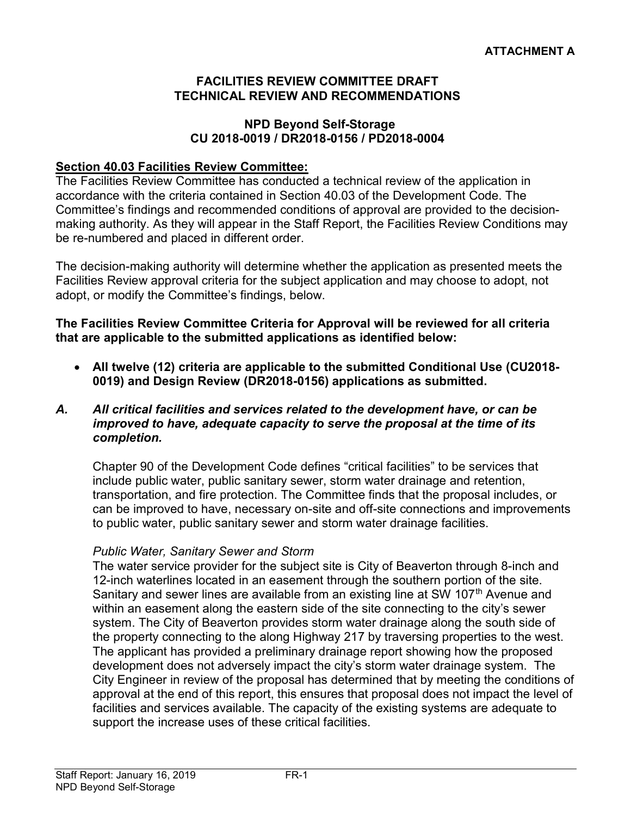### FACILITIES REVIEW COMMITTEE DRAFT TECHNICAL REVIEW AND RECOMMENDATIONS

### NPD Beyond Self-Storage CU 2018-0019 / DR2018-0156 / PD2018-0004

### Section 40.03 Facilities Review Committee:

The Facilities Review Committee has conducted a technical review of the application in accordance with the criteria contained in Section 40.03 of the Development Code. The Committee's findings and recommended conditions of approval are provided to the decisionmaking authority. As they will appear in the Staff Report, the Facilities Review Conditions may be re-numbered and placed in different order.

The decision-making authority will determine whether the application as presented meets the Facilities Review approval criteria for the subject application and may choose to adopt, not adopt, or modify the Committee's findings, below.

#### The Facilities Review Committee Criteria for Approval will be reviewed for all criteria that are applicable to the submitted applications as identified below:

- All twelve (12) criteria are applicable to the submitted Conditional Use (CU2018- 0019) and Design Review (DR2018-0156) applications as submitted.
- A. All critical facilities and services related to the development have, or can be improved to have, adequate capacity to serve the proposal at the time of its completion.

Chapter 90 of the Development Code defines "critical facilities" to be services that include public water, public sanitary sewer, storm water drainage and retention, transportation, and fire protection. The Committee finds that the proposal includes, or can be improved to have, necessary on-site and off-site connections and improvements to public water, public sanitary sewer and storm water drainage facilities.

#### Public Water, Sanitary Sewer and Storm

The water service provider for the subject site is City of Beaverton through 8-inch and 12-inch waterlines located in an easement through the southern portion of the site. Sanitary and sewer lines are available from an existing line at SW 107<sup>th</sup> Avenue and within an easement along the eastern side of the site connecting to the city's sewer system. The City of Beaverton provides storm water drainage along the south side of the property connecting to the along Highway 217 by traversing properties to the west. The applicant has provided a preliminary drainage report showing how the proposed development does not adversely impact the city's storm water drainage system. The City Engineer in review of the proposal has determined that by meeting the conditions of approval at the end of this report, this ensures that proposal does not impact the level of facilities and services available. The capacity of the existing systems are adequate to support the increase uses of these critical facilities.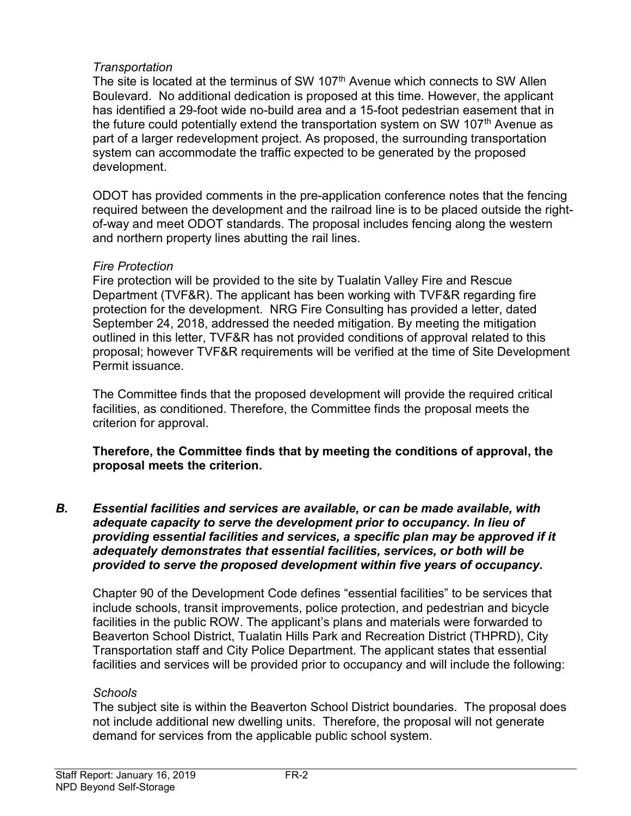### Transportation

The site is located at the terminus of SW 107<sup>th</sup> Avenue which connects to SW Allen Boulevard. No additional dedication is proposed at this time. However, the applicant has identified a 29-foot wide no-build area and a 15-foot pedestrian easement that in the future could potentially extend the transportation system on SW 107<sup>th</sup> Avenue as part of a larger redevelopment project. As proposed, the surrounding transportation system can accommodate the traffic expected to be generated by the proposed development.

ODOT has provided comments in the pre-application conference notes that the fencing required between the development and the railroad line is to be placed outside the rightof-way and meet ODOT standards. The proposal includes fencing along the western and northern property lines abutting the rail lines.

#### Fire Protection

Fire protection will be provided to the site by Tualatin Valley Fire and Rescue Department (TVF&R). The applicant has been working with TVF&R regarding fire protection for the development. NRG Fire Consulting has provided a letter, dated September 24, 2018, addressed the needed mitigation. By meeting the mitigation outlined in this letter, TVF&R has not provided conditions of approval related to this proposal; however TVF&R requirements will be verified at the time of Site Development Permit issuance.

The Committee finds that the proposed development will provide the required critical facilities, as conditioned. Therefore, the Committee finds the proposal meets the criterion for approval.

### Therefore, the Committee finds that by meeting the conditions of approval, the proposal meets the criterion.

### B. Essential facilities and services are available, or can be made available, with adequate capacity to serve the development prior to occupancy. In lieu of providing essential facilities and services, a specific plan may be approved if it adequately demonstrates that essential facilities, services, or both will be provided to serve the proposed development within five years of occupancy.

Chapter 90 of the Development Code defines "essential facilities" to be services that include schools, transit improvements, police protection, and pedestrian and bicycle facilities in the public ROW. The applicant's plans and materials were forwarded to Beaverton School District, Tualatin Hills Park and Recreation District (THPRD), City Transportation staff and City Police Department. The applicant states that essential facilities and services will be provided prior to occupancy and will include the following:

#### **Schools**

The subject site is within the Beaverton School District boundaries. The proposal does not include additional new dwelling units. Therefore, the proposal will not generate demand for services from the applicable public school system.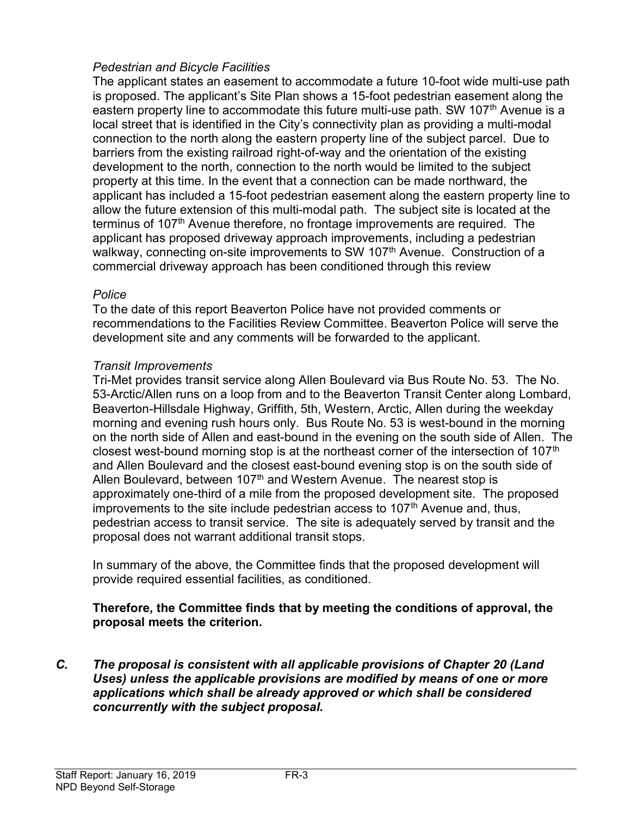## Pedestrian and Bicycle Facilities

The applicant states an easement to accommodate a future 10-foot wide multi-use path is proposed. The applicant's Site Plan shows a 15-foot pedestrian easement along the eastern property line to accommodate this future multi-use path. SW 107<sup>th</sup> Avenue is a local street that is identified in the City's connectivity plan as providing a multi-modal connection to the north along the eastern property line of the subject parcel. Due to barriers from the existing railroad right-of-way and the orientation of the existing development to the north, connection to the north would be limited to the subject property at this time. In the event that a connection can be made northward, the applicant has included a 15-foot pedestrian easement along the eastern property line to allow the future extension of this multi-modal path. The subject site is located at the terminus of 107<sup>th</sup> Avenue therefore, no frontage improvements are required. The applicant has proposed driveway approach improvements, including a pedestrian walkway, connecting on-site improvements to SW 107<sup>th</sup> Avenue. Construction of a commercial driveway approach has been conditioned through this review

### Police

To the date of this report Beaverton Police have not provided comments or recommendations to the Facilities Review Committee. Beaverton Police will serve the development site and any comments will be forwarded to the applicant.

### Transit Improvements

Tri-Met provides transit service along Allen Boulevard via Bus Route No. 53. The No. 53-Arctic/Allen runs on a loop from and to the Beaverton Transit Center along Lombard, Beaverton-Hillsdale Highway, Griffith, 5th, Western, Arctic, Allen during the weekday morning and evening rush hours only. Bus Route No. 53 is west-bound in the morning on the north side of Allen and east-bound in the evening on the south side of Allen. The closest west-bound morning stop is at the northeast corner of the intersection of 107<sup>th</sup> and Allen Boulevard and the closest east-bound evening stop is on the south side of Allen Boulevard, between  $107<sup>th</sup>$  and Western Avenue. The nearest stop is approximately one-third of a mile from the proposed development site. The proposed improvements to the site include pedestrian access to  $107<sup>th</sup>$  Avenue and, thus, pedestrian access to transit service. The site is adequately served by transit and the proposal does not warrant additional transit stops.

In summary of the above, the Committee finds that the proposed development will provide required essential facilities, as conditioned.

### Therefore, the Committee finds that by meeting the conditions of approval, the proposal meets the criterion.

C. The proposal is consistent with all applicable provisions of Chapter 20 (Land Uses) unless the applicable provisions are modified by means of one or more applications which shall be already approved or which shall be considered concurrently with the subject proposal.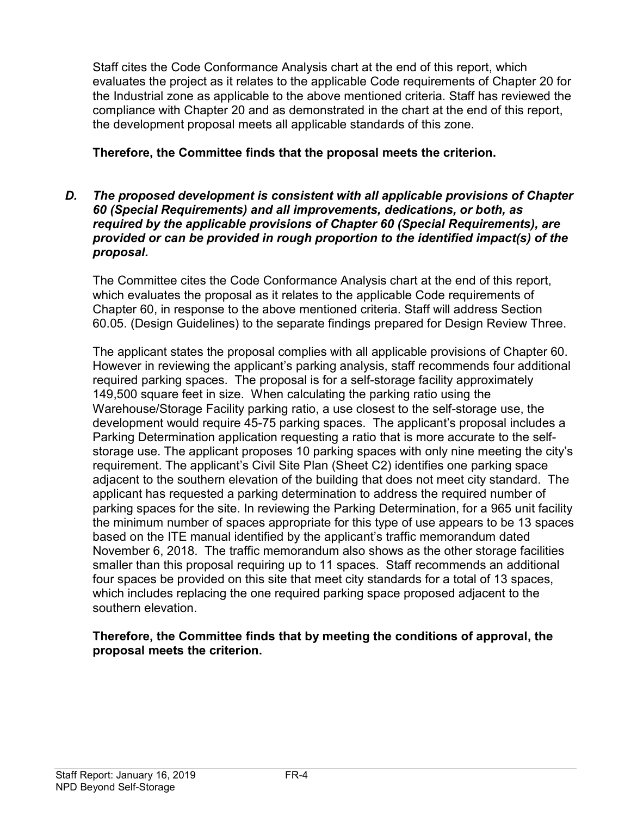Staff cites the Code Conformance Analysis chart at the end of this report, which evaluates the project as it relates to the applicable Code requirements of Chapter 20 for the Industrial zone as applicable to the above mentioned criteria. Staff has reviewed the compliance with Chapter 20 and as demonstrated in the chart at the end of this report, the development proposal meets all applicable standards of this zone.

# Therefore, the Committee finds that the proposal meets the criterion.

D. The proposed development is consistent with all applicable provisions of Chapter 60 (Special Requirements) and all improvements, dedications, or both, as required by the applicable provisions of Chapter 60 (Special Requirements), are provided or can be provided in rough proportion to the identified impact(s) of the proposal.

The Committee cites the Code Conformance Analysis chart at the end of this report, which evaluates the proposal as it relates to the applicable Code requirements of Chapter 60, in response to the above mentioned criteria. Staff will address Section 60.05. (Design Guidelines) to the separate findings prepared for Design Review Three.

The applicant states the proposal complies with all applicable provisions of Chapter 60. However in reviewing the applicant's parking analysis, staff recommends four additional required parking spaces. The proposal is for a self-storage facility approximately 149,500 square feet in size. When calculating the parking ratio using the Warehouse/Storage Facility parking ratio, a use closest to the self-storage use, the development would require 45-75 parking spaces. The applicant's proposal includes a Parking Determination application requesting a ratio that is more accurate to the selfstorage use. The applicant proposes 10 parking spaces with only nine meeting the city's requirement. The applicant's Civil Site Plan (Sheet C2) identifies one parking space adjacent to the southern elevation of the building that does not meet city standard. The applicant has requested a parking determination to address the required number of parking spaces for the site. In reviewing the Parking Determination, for a 965 unit facility the minimum number of spaces appropriate for this type of use appears to be 13 spaces based on the ITE manual identified by the applicant's traffic memorandum dated November 6, 2018. The traffic memorandum also shows as the other storage facilities smaller than this proposal requiring up to 11 spaces. Staff recommends an additional four spaces be provided on this site that meet city standards for a total of 13 spaces, which includes replacing the one required parking space proposed adjacent to the southern elevation.

### Therefore, the Committee finds that by meeting the conditions of approval, the proposal meets the criterion.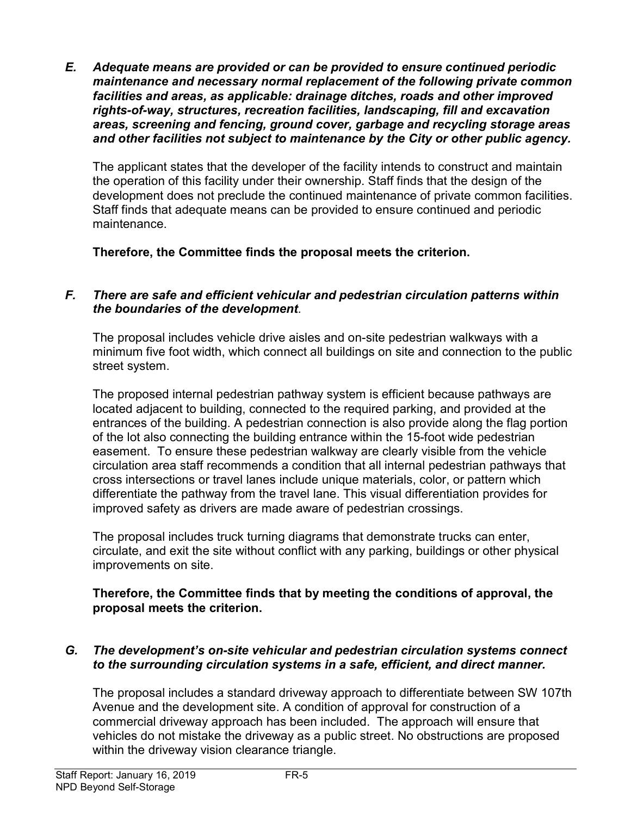E. Adequate means are provided or can be provided to ensure continued periodic maintenance and necessary normal replacement of the following private common facilities and areas, as applicable: drainage ditches, roads and other improved rights-of-way, structures, recreation facilities, landscaping, fill and excavation areas, screening and fencing, ground cover, garbage and recycling storage areas and other facilities not subject to maintenance by the City or other public agency.

The applicant states that the developer of the facility intends to construct and maintain the operation of this facility under their ownership. Staff finds that the design of the development does not preclude the continued maintenance of private common facilities. Staff finds that adequate means can be provided to ensure continued and periodic maintenance.

Therefore, the Committee finds the proposal meets the criterion.

# F. There are safe and efficient vehicular and pedestrian circulation patterns within the boundaries of the development.

The proposal includes vehicle drive aisles and on-site pedestrian walkways with a minimum five foot width, which connect all buildings on site and connection to the public street system.

The proposed internal pedestrian pathway system is efficient because pathways are located adjacent to building, connected to the required parking, and provided at the entrances of the building. A pedestrian connection is also provide along the flag portion of the lot also connecting the building entrance within the 15-foot wide pedestrian easement. To ensure these pedestrian walkway are clearly visible from the vehicle circulation area staff recommends a condition that all internal pedestrian pathways that cross intersections or travel lanes include unique materials, color, or pattern which differentiate the pathway from the travel lane. This visual differentiation provides for improved safety as drivers are made aware of pedestrian crossings.

The proposal includes truck turning diagrams that demonstrate trucks can enter, circulate, and exit the site without conflict with any parking, buildings or other physical improvements on site.

### Therefore, the Committee finds that by meeting the conditions of approval, the proposal meets the criterion.

# G. The development's on-site vehicular and pedestrian circulation systems connect to the surrounding circulation systems in a safe, efficient, and direct manner.

The proposal includes a standard driveway approach to differentiate between SW 107th Avenue and the development site. A condition of approval for construction of a commercial driveway approach has been included. The approach will ensure that vehicles do not mistake the driveway as a public street. No obstructions are proposed within the driveway vision clearance triangle.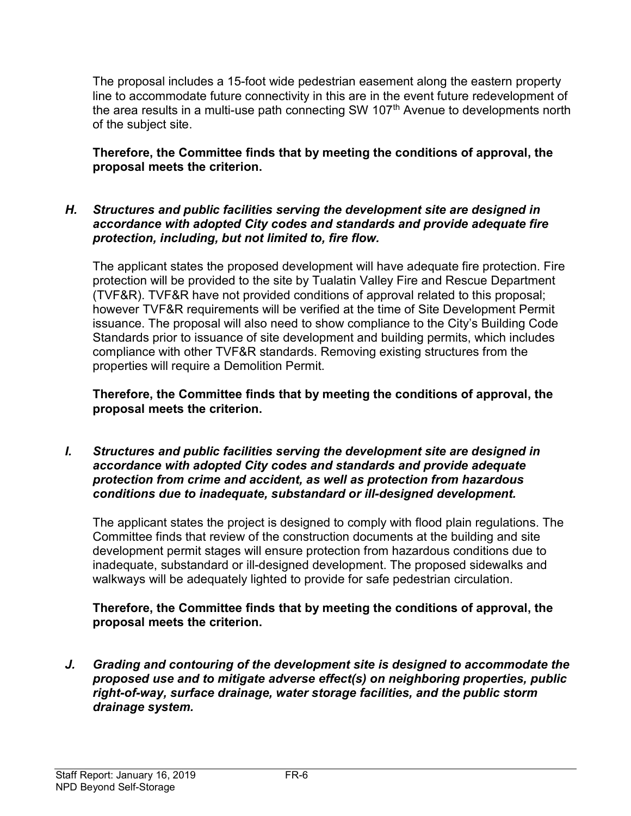The proposal includes a 15-foot wide pedestrian easement along the eastern property line to accommodate future connectivity in this are in the event future redevelopment of the area results in a multi-use path connecting SW 107<sup>th</sup> Avenue to developments north of the subject site.

Therefore, the Committee finds that by meeting the conditions of approval, the proposal meets the criterion.

### H. Structures and public facilities serving the development site are designed in accordance with adopted City codes and standards and provide adequate fire protection, including, but not limited to, fire flow.

The applicant states the proposed development will have adequate fire protection. Fire protection will be provided to the site by Tualatin Valley Fire and Rescue Department (TVF&R). TVF&R have not provided conditions of approval related to this proposal; however TVF&R requirements will be verified at the time of Site Development Permit issuance. The proposal will also need to show compliance to the City's Building Code Standards prior to issuance of site development and building permits, which includes compliance with other TVF&R standards. Removing existing structures from the properties will require a Demolition Permit.

Therefore, the Committee finds that by meeting the conditions of approval, the proposal meets the criterion.

I. Structures and public facilities serving the development site are designed in accordance with adopted City codes and standards and provide adequate protection from crime and accident, as well as protection from hazardous conditions due to inadequate, substandard or ill-designed development.

The applicant states the project is designed to comply with flood plain regulations. The Committee finds that review of the construction documents at the building and site development permit stages will ensure protection from hazardous conditions due to inadequate, substandard or ill-designed development. The proposed sidewalks and walkways will be adequately lighted to provide for safe pedestrian circulation.

### Therefore, the Committee finds that by meeting the conditions of approval, the proposal meets the criterion.

J. Grading and contouring of the development site is designed to accommodate the proposed use and to mitigate adverse effect(s) on neighboring properties, public right-of-way, surface drainage, water storage facilities, and the public storm drainage system.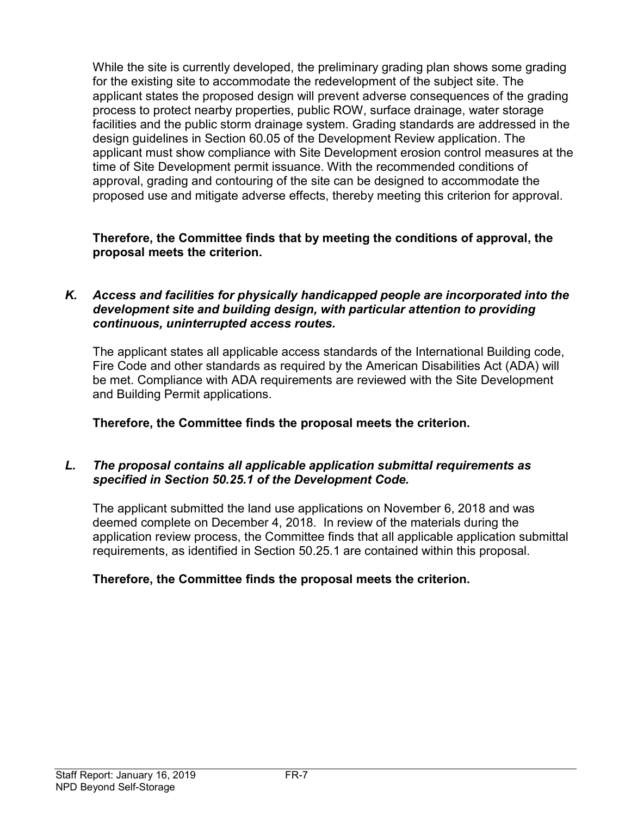While the site is currently developed, the preliminary grading plan shows some grading for the existing site to accommodate the redevelopment of the subject site. The applicant states the proposed design will prevent adverse consequences of the grading process to protect nearby properties, public ROW, surface drainage, water storage facilities and the public storm drainage system. Grading standards are addressed in the design guidelines in Section 60.05 of the Development Review application. The applicant must show compliance with Site Development erosion control measures at the time of Site Development permit issuance. With the recommended conditions of approval, grading and contouring of the site can be designed to accommodate the proposed use and mitigate adverse effects, thereby meeting this criterion for approval.

### Therefore, the Committee finds that by meeting the conditions of approval, the proposal meets the criterion.

### K. Access and facilities for physically handicapped people are incorporated into the development site and building design, with particular attention to providing continuous, uninterrupted access routes.

The applicant states all applicable access standards of the International Building code, Fire Code and other standards as required by the American Disabilities Act (ADA) will be met. Compliance with ADA requirements are reviewed with the Site Development and Building Permit applications.

Therefore, the Committee finds the proposal meets the criterion.

# L. The proposal contains all applicable application submittal requirements as specified in Section 50.25.1 of the Development Code.

The applicant submitted the land use applications on November 6, 2018 and was deemed complete on December 4, 2018. In review of the materials during the application review process, the Committee finds that all applicable application submittal requirements, as identified in Section 50.25.1 are contained within this proposal.

# Therefore, the Committee finds the proposal meets the criterion.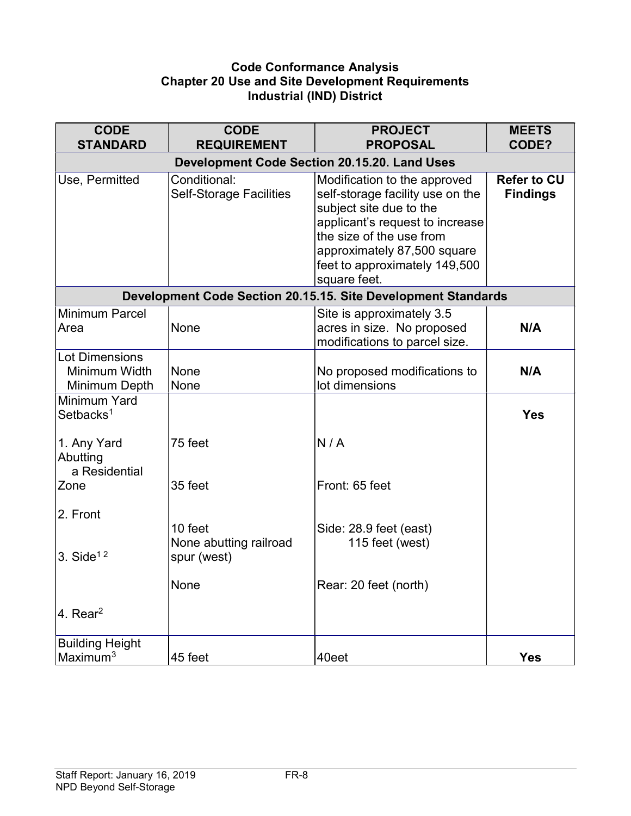### Code Conformance Analysis Chapter 20 Use and Site Development Requirements Industrial (IND) District

| <b>CODE</b><br><b>STANDARD</b>                          | <b>CODE</b><br><b>REQUIREMENT</b>                   | <b>PROJECT</b><br><b>PROPOSAL</b>                                                                                                                                                                                                          | <b>MEETS</b><br>CODE?                 |  |  |
|---------------------------------------------------------|-----------------------------------------------------|--------------------------------------------------------------------------------------------------------------------------------------------------------------------------------------------------------------------------------------------|---------------------------------------|--|--|
|                                                         | <b>Development Code Section 20.15.20. Land Uses</b> |                                                                                                                                                                                                                                            |                                       |  |  |
| Use, Permitted                                          | Conditional:<br><b>Self-Storage Facilities</b>      | Modification to the approved<br>self-storage facility use on the<br>subject site due to the<br>applicant's request to increase<br>the size of the use from<br>approximately 87,500 square<br>feet to approximately 149,500<br>square feet. | <b>Refer to CU</b><br><b>Findings</b> |  |  |
|                                                         |                                                     | Development Code Section 20.15.15. Site Development Standards                                                                                                                                                                              |                                       |  |  |
| <b>Minimum Parcel</b><br>Area                           | None                                                | Site is approximately 3.5<br>acres in size. No proposed<br>modifications to parcel size.                                                                                                                                                   | N/A                                   |  |  |
| <b>Lot Dimensions</b><br>Minimum Width<br>Minimum Depth | None<br>None                                        | No proposed modifications to<br>lot dimensions                                                                                                                                                                                             | N/A                                   |  |  |
| Minimum Yard<br>Setbacks <sup>1</sup>                   |                                                     |                                                                                                                                                                                                                                            | <b>Yes</b>                            |  |  |
| 1. Any Yard<br>Abutting<br>a Residential                | 75 feet                                             | N/A                                                                                                                                                                                                                                        |                                       |  |  |
| Zone                                                    | 35 feet                                             | Front: 65 feet                                                                                                                                                                                                                             |                                       |  |  |
| 2. Front                                                | 10 feet<br>None abutting railroad                   | Side: 28.9 feet (east)<br>115 feet (west)                                                                                                                                                                                                  |                                       |  |  |
| 3. Side $12$                                            | spur (west)                                         |                                                                                                                                                                                                                                            |                                       |  |  |
|                                                         | None                                                | Rear: 20 feet (north)                                                                                                                                                                                                                      |                                       |  |  |
| 4. Rear <sup>2</sup>                                    |                                                     |                                                                                                                                                                                                                                            |                                       |  |  |
| <b>Building Height</b><br>Maximum <sup>3</sup>          | 45 feet                                             | 40eet                                                                                                                                                                                                                                      | <b>Yes</b>                            |  |  |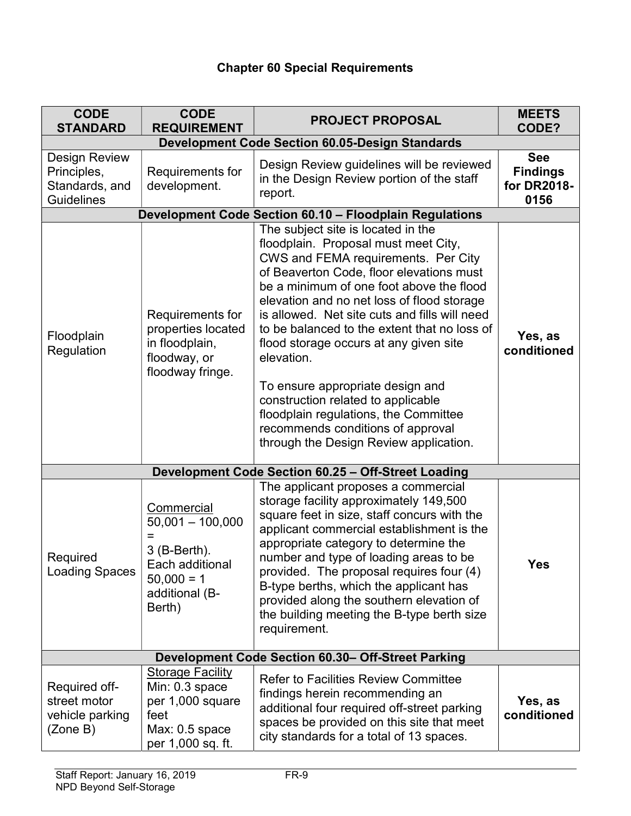# Chapter 60 Special Requirements

| <b>CODE</b><br><b>STANDARD</b>                                      | <b>CODE</b><br><b>REQUIREMENT</b>                                                                                      | <b>PROJECT PROPOSAL</b>                                                                                                                                                                                                                                                                                                                                                                                                                                                                                                                                                                                            | <b>MEETS</b><br>CODE?                                |
|---------------------------------------------------------------------|------------------------------------------------------------------------------------------------------------------------|--------------------------------------------------------------------------------------------------------------------------------------------------------------------------------------------------------------------------------------------------------------------------------------------------------------------------------------------------------------------------------------------------------------------------------------------------------------------------------------------------------------------------------------------------------------------------------------------------------------------|------------------------------------------------------|
| <b>Development Code Section 60.05-Design Standards</b>              |                                                                                                                        |                                                                                                                                                                                                                                                                                                                                                                                                                                                                                                                                                                                                                    |                                                      |
| <b>Design Review</b><br>Principles,<br>Standards, and<br>Guidelines | Requirements for<br>development.                                                                                       | Design Review guidelines will be reviewed<br>in the Design Review portion of the staff<br>report.                                                                                                                                                                                                                                                                                                                                                                                                                                                                                                                  | <b>See</b><br><b>Findings</b><br>for DR2018-<br>0156 |
|                                                                     |                                                                                                                        | Development Code Section 60.10 - Floodplain Regulations                                                                                                                                                                                                                                                                                                                                                                                                                                                                                                                                                            |                                                      |
| Floodplain<br>Regulation                                            | Requirements for<br>properties located<br>in floodplain,<br>floodway, or<br>floodway fringe.                           | The subject site is located in the<br>floodplain. Proposal must meet City,<br>CWS and FEMA requirements. Per City<br>of Beaverton Code, floor elevations must<br>be a minimum of one foot above the flood<br>elevation and no net loss of flood storage<br>is allowed. Net site cuts and fills will need<br>to be balanced to the extent that no loss of<br>flood storage occurs at any given site<br>elevation.<br>To ensure appropriate design and<br>construction related to applicable<br>floodplain regulations, the Committee<br>recommends conditions of approval<br>through the Design Review application. | Yes, as<br>conditioned                               |
|                                                                     |                                                                                                                        | Development Code Section 60.25 - Off-Street Loading                                                                                                                                                                                                                                                                                                                                                                                                                                                                                                                                                                |                                                      |
| Required<br><b>Loading Spaces</b>                                   | Commercial<br>$50,001 - 100,000$<br>Ξ<br>$3$ (B-Berth).<br>Each additional<br>$50,000 = 1$<br>additional (B-<br>Berth) | The applicant proposes a commercial<br>storage facility approximately 149,500<br>square feet in size, staff concurs with the<br>applicant commercial establishment is the<br>appropriate category to determine the<br>number and type of loading areas to be<br>provided. The proposal requires four (4)<br>B-type berths, which the applicant has<br>provided along the southern elevation of<br>the building meeting the B-type berth size<br>requirement.                                                                                                                                                       | Yes                                                  |
| Development Code Section 60.30- Off-Street Parking                  |                                                                                                                        |                                                                                                                                                                                                                                                                                                                                                                                                                                                                                                                                                                                                                    |                                                      |
| Required off-<br>street motor<br>vehicle parking<br>(Zone B)        | <b>Storage Facility</b><br>Min: 0.3 space<br>per 1,000 square<br>feet<br>$Max: 0.5$ space<br>per 1,000 sq. ft.         | <b>Refer to Facilities Review Committee</b><br>findings herein recommending an<br>additional four required off-street parking<br>spaces be provided on this site that meet<br>city standards for a total of 13 spaces.                                                                                                                                                                                                                                                                                                                                                                                             | Yes, as<br>conditioned                               |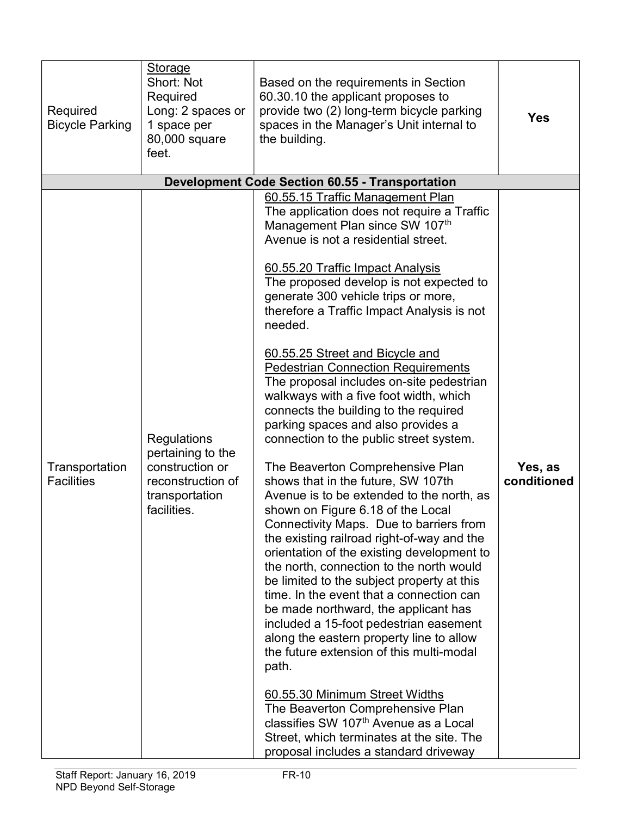| Required<br><b>Bicycle Parking</b>  | <b>Storage</b><br>Short: Not<br>Required<br>Long: 2 spaces or<br>1 space per<br>80,000 square<br>feet.           | Based on the requirements in Section<br>60.30.10 the applicant proposes to<br>provide two (2) long-term bicycle parking<br>spaces in the Manager's Unit internal to<br>the building.                                                                                                                                                                                                                                                                                                                                                                                                                                                                                                                                                                                                                                                                                                                                                                                                                                                                                                                                                                                                                                                                                                                                                                                                                                                                                                | <b>Yes</b>             |
|-------------------------------------|------------------------------------------------------------------------------------------------------------------|-------------------------------------------------------------------------------------------------------------------------------------------------------------------------------------------------------------------------------------------------------------------------------------------------------------------------------------------------------------------------------------------------------------------------------------------------------------------------------------------------------------------------------------------------------------------------------------------------------------------------------------------------------------------------------------------------------------------------------------------------------------------------------------------------------------------------------------------------------------------------------------------------------------------------------------------------------------------------------------------------------------------------------------------------------------------------------------------------------------------------------------------------------------------------------------------------------------------------------------------------------------------------------------------------------------------------------------------------------------------------------------------------------------------------------------------------------------------------------------|------------------------|
|                                     |                                                                                                                  | <b>Development Code Section 60.55 - Transportation</b>                                                                                                                                                                                                                                                                                                                                                                                                                                                                                                                                                                                                                                                                                                                                                                                                                                                                                                                                                                                                                                                                                                                                                                                                                                                                                                                                                                                                                              |                        |
| Transportation<br><b>Facilities</b> | <b>Regulations</b><br>pertaining to the<br>construction or<br>reconstruction of<br>transportation<br>facilities. | 60.55.15 Traffic Management Plan<br>The application does not require a Traffic<br>Management Plan since SW 107th<br>Avenue is not a residential street.<br>60.55.20 Traffic Impact Analysis<br>The proposed develop is not expected to<br>generate 300 vehicle trips or more,<br>therefore a Traffic Impact Analysis is not<br>needed.<br>60.55.25 Street and Bicycle and<br><b>Pedestrian Connection Requirements</b><br>The proposal includes on-site pedestrian<br>walkways with a five foot width, which<br>connects the building to the required<br>parking spaces and also provides a<br>connection to the public street system.<br>The Beaverton Comprehensive Plan<br>shows that in the future, SW 107th<br>Avenue is to be extended to the north, as<br>shown on Figure 6.18 of the Local<br>Connectivity Maps. Due to barriers from<br>the existing railroad right-of-way and the<br>orientation of the existing development to<br>the north, connection to the north would<br>be limited to the subject property at this<br>time. In the event that a connection can<br>be made northward, the applicant has<br>included a 15-foot pedestrian easement<br>along the eastern property line to allow<br>the future extension of this multi-modal<br>path.<br>60.55.30 Minimum Street Widths<br>The Beaverton Comprehensive Plan<br>classifies SW 107 <sup>th</sup> Avenue as a Local<br>Street, which terminates at the site. The<br>proposal includes a standard driveway | Yes, as<br>conditioned |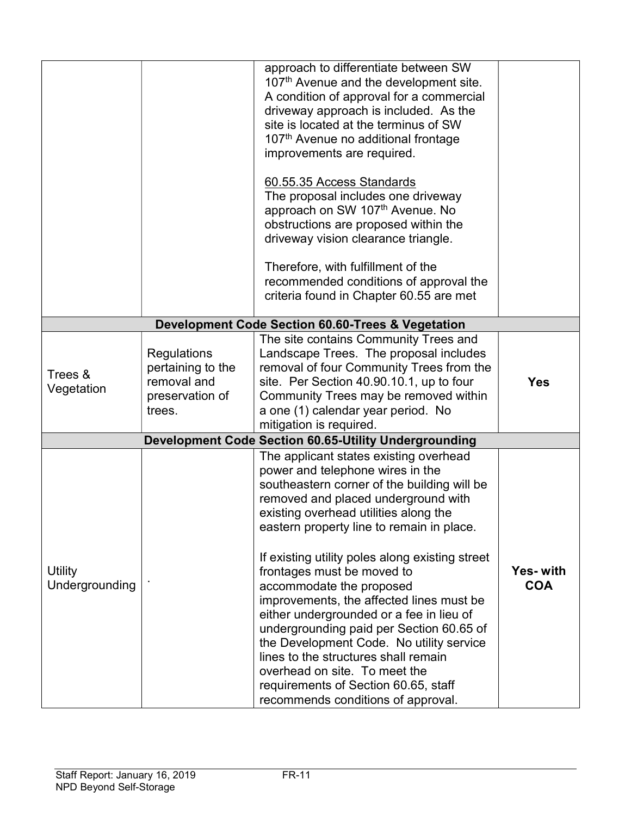|                                  |                                                                              | approach to differentiate between SW<br>107 <sup>th</sup> Avenue and the development site.<br>A condition of approval for a commercial<br>driveway approach is included. As the<br>site is located at the terminus of SW<br>107 <sup>th</sup> Avenue no additional frontage<br>improvements are required.<br>60.55.35 Access Standards<br>The proposal includes one driveway<br>approach on SW 107th Avenue. No<br>obstructions are proposed within the<br>driveway vision clearance triangle.<br>Therefore, with fulfillment of the<br>recommended conditions of approval the                                                                                                                             |                        |
|----------------------------------|------------------------------------------------------------------------------|------------------------------------------------------------------------------------------------------------------------------------------------------------------------------------------------------------------------------------------------------------------------------------------------------------------------------------------------------------------------------------------------------------------------------------------------------------------------------------------------------------------------------------------------------------------------------------------------------------------------------------------------------------------------------------------------------------|------------------------|
|                                  |                                                                              | criteria found in Chapter 60.55 are met                                                                                                                                                                                                                                                                                                                                                                                                                                                                                                                                                                                                                                                                    |                        |
|                                  |                                                                              | Development Code Section 60.60-Trees & Vegetation                                                                                                                                                                                                                                                                                                                                                                                                                                                                                                                                                                                                                                                          |                        |
| Trees &<br>Vegetation            | Regulations<br>pertaining to the<br>removal and<br>preservation of<br>trees. | The site contains Community Trees and<br>Landscape Trees. The proposal includes<br>removal of four Community Trees from the<br>site. Per Section 40.90.10.1, up to four<br>Community Trees may be removed within<br>a one (1) calendar year period. No<br>mitigation is required.                                                                                                                                                                                                                                                                                                                                                                                                                          | <b>Yes</b>             |
|                                  |                                                                              | <b>Development Code Section 60.65-Utility Undergrounding</b>                                                                                                                                                                                                                                                                                                                                                                                                                                                                                                                                                                                                                                               |                        |
| <b>Utility</b><br>Undergrounding |                                                                              | The applicant states existing overhead<br>power and telephone wires in the<br>southeastern corner of the building will be<br>removed and placed underground with<br>existing overhead utilities along the<br>eastern property line to remain in place.<br>If existing utility poles along existing street<br>frontages must be moved to<br>accommodate the proposed<br>improvements, the affected lines must be<br>either undergrounded or a fee in lieu of<br>undergrounding paid per Section 60.65 of<br>the Development Code. No utility service<br>lines to the structures shall remain<br>overhead on site. To meet the<br>requirements of Section 60.65, staff<br>recommends conditions of approval. | Yes-with<br><b>COA</b> |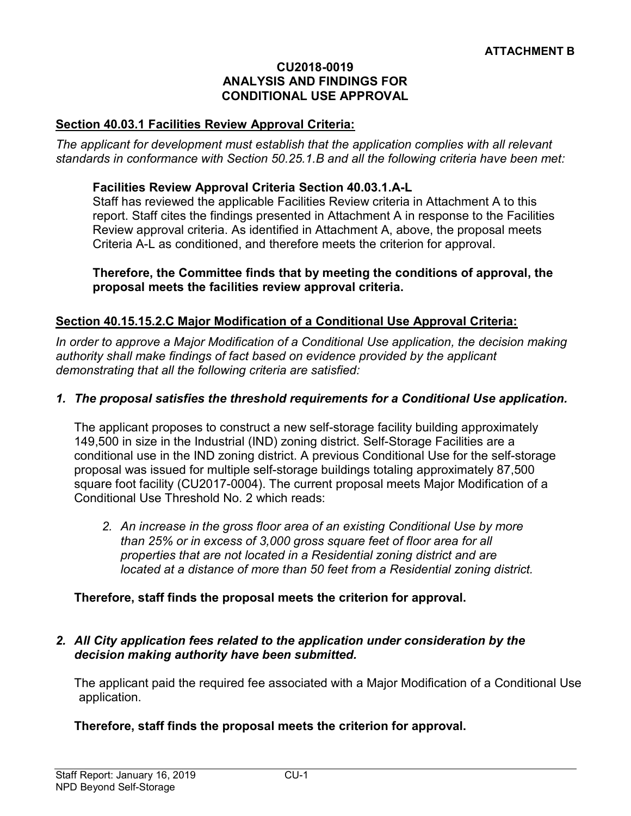#### CU2018-0019 ANALYSIS AND FINDINGS FOR CONDITIONAL USE APPROVAL

#### Section 40.03.1 Facilities Review Approval Criteria:

The applicant for development must establish that the application complies with all relevant standards in conformance with Section 50.25.1.B and all the following criteria have been met:

#### Facilities Review Approval Criteria Section 40.03.1.A-L

Staff has reviewed the applicable Facilities Review criteria in Attachment A to this report. Staff cites the findings presented in Attachment A in response to the Facilities Review approval criteria. As identified in Attachment A, above, the proposal meets Criteria A-L as conditioned, and therefore meets the criterion for approval.

#### Therefore, the Committee finds that by meeting the conditions of approval, the proposal meets the facilities review approval criteria.

#### Section 40.15.15.2.C Major Modification of a Conditional Use Approval Criteria:

In order to approve a Major Modification of a Conditional Use application, the decision making authority shall make findings of fact based on evidence provided by the applicant demonstrating that all the following criteria are satisfied:

#### 1. The proposal satisfies the threshold requirements for a Conditional Use application.

The applicant proposes to construct a new self-storage facility building approximately 149,500 in size in the Industrial (IND) zoning district. Self-Storage Facilities are a conditional use in the IND zoning district. A previous Conditional Use for the self-storage proposal was issued for multiple self-storage buildings totaling approximately 87,500 square foot facility (CU2017-0004). The current proposal meets Major Modification of a Conditional Use Threshold No. 2 which reads:

2. An increase in the gross floor area of an existing Conditional Use by more than 25% or in excess of 3,000 gross square feet of floor area for all properties that are not located in a Residential zoning district and are located at a distance of more than 50 feet from a Residential zoning district.

#### Therefore, staff finds the proposal meets the criterion for approval.

#### 2. All City application fees related to the application under consideration by the decision making authority have been submitted.

The applicant paid the required fee associated with a Major Modification of a Conditional Use application.

#### Therefore, staff finds the proposal meets the criterion for approval.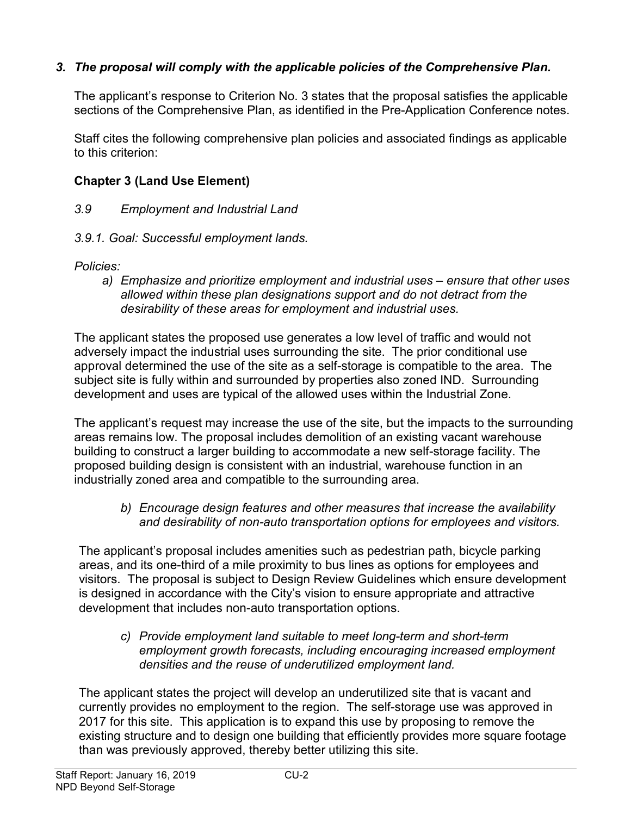# 3. The proposal will comply with the applicable policies of the Comprehensive Plan.

The applicant's response to Criterion No. 3 states that the proposal satisfies the applicable sections of the Comprehensive Plan, as identified in the Pre-Application Conference notes.

Staff cites the following comprehensive plan policies and associated findings as applicable to this criterion:

# Chapter 3 (Land Use Element)

# 3.9 Employment and Industrial Land

3.9.1. Goal: Successful employment lands.

Policies:

a) Emphasize and prioritize employment and industrial uses – ensure that other uses allowed within these plan designations support and do not detract from the desirability of these areas for employment and industrial uses.

The applicant states the proposed use generates a low level of traffic and would not adversely impact the industrial uses surrounding the site. The prior conditional use approval determined the use of the site as a self-storage is compatible to the area. The subject site is fully within and surrounded by properties also zoned IND. Surrounding development and uses are typical of the allowed uses within the Industrial Zone.

The applicant's request may increase the use of the site, but the impacts to the surrounding areas remains low. The proposal includes demolition of an existing vacant warehouse building to construct a larger building to accommodate a new self-storage facility. The proposed building design is consistent with an industrial, warehouse function in an industrially zoned area and compatible to the surrounding area.

b) Encourage design features and other measures that increase the availability and desirability of non-auto transportation options for employees and visitors.

The applicant's proposal includes amenities such as pedestrian path, bicycle parking areas, and its one-third of a mile proximity to bus lines as options for employees and visitors. The proposal is subject to Design Review Guidelines which ensure development is designed in accordance with the City's vision to ensure appropriate and attractive development that includes non-auto transportation options.

c) Provide employment land suitable to meet long-term and short-term employment growth forecasts, including encouraging increased employment densities and the reuse of underutilized employment land.

The applicant states the project will develop an underutilized site that is vacant and currently provides no employment to the region. The self-storage use was approved in 2017 for this site. This application is to expand this use by proposing to remove the existing structure and to design one building that efficiently provides more square footage than was previously approved, thereby better utilizing this site.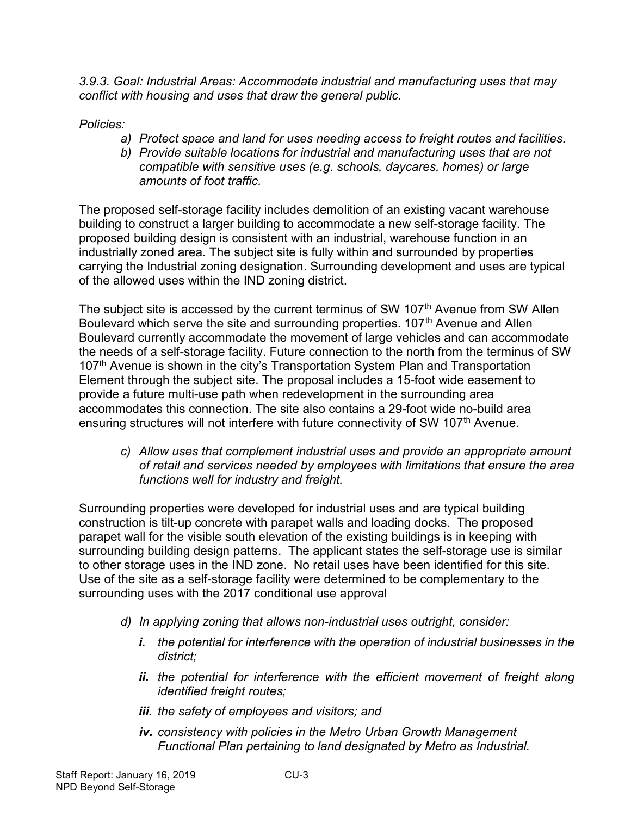3.9.3. Goal: Industrial Areas: Accommodate industrial and manufacturing uses that may conflict with housing and uses that draw the general public.

Policies:

- a) Protect space and land for uses needing access to freight routes and facilities.
- b) Provide suitable locations for industrial and manufacturing uses that are not compatible with sensitive uses (e.g. schools, daycares, homes) or large amounts of foot traffic.

The proposed self-storage facility includes demolition of an existing vacant warehouse building to construct a larger building to accommodate a new self-storage facility. The proposed building design is consistent with an industrial, warehouse function in an industrially zoned area. The subject site is fully within and surrounded by properties carrying the Industrial zoning designation. Surrounding development and uses are typical of the allowed uses within the IND zoning district.

The subject site is accessed by the current terminus of SW 107<sup>th</sup> Avenue from SW Allen Boulevard which serve the site and surrounding properties.  $107<sup>th</sup>$  Avenue and Allen Boulevard currently accommodate the movement of large vehicles and can accommodate the needs of a self-storage facility. Future connection to the north from the terminus of SW 107<sup>th</sup> Avenue is shown in the city's Transportation System Plan and Transportation Element through the subject site. The proposal includes a 15-foot wide easement to provide a future multi-use path when redevelopment in the surrounding area accommodates this connection. The site also contains a 29-foot wide no-build area ensuring structures will not interfere with future connectivity of SW 107<sup>th</sup> Avenue.

c) Allow uses that complement industrial uses and provide an appropriate amount of retail and services needed by employees with limitations that ensure the area functions well for industry and freight.

Surrounding properties were developed for industrial uses and are typical building construction is tilt-up concrete with parapet walls and loading docks. The proposed parapet wall for the visible south elevation of the existing buildings is in keeping with surrounding building design patterns. The applicant states the self-storage use is similar to other storage uses in the IND zone. No retail uses have been identified for this site. Use of the site as a self-storage facility were determined to be complementary to the surrounding uses with the 2017 conditional use approval

- d) In applying zoning that allows non-industrial uses outright, consider:
	- i. the potential for interference with the operation of industrial businesses in the district;
	- ii. the potential for interference with the efficient movement of freight along identified freight routes;
	- iii. the safety of employees and visitors; and
	- iv. consistency with policies in the Metro Urban Growth Management Functional Plan pertaining to land designated by Metro as Industrial.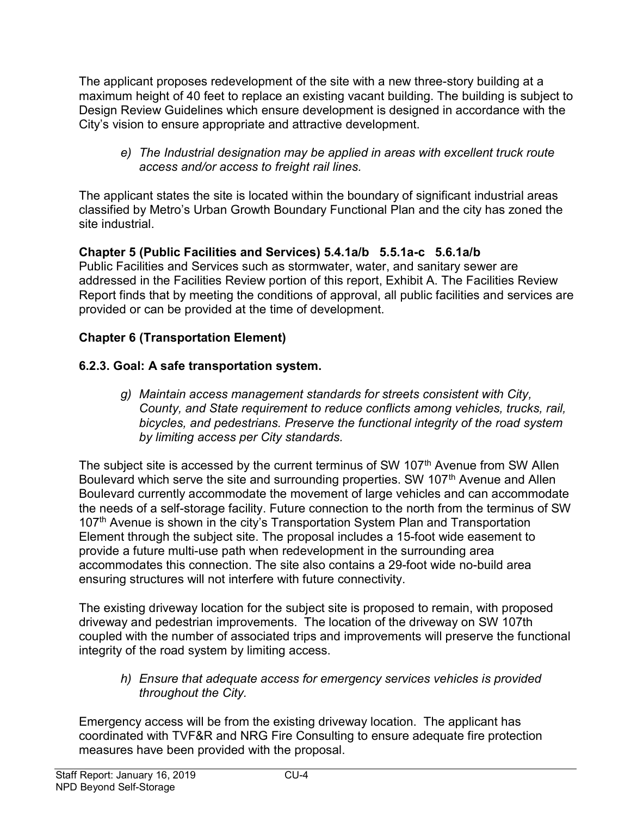The applicant proposes redevelopment of the site with a new three-story building at a maximum height of 40 feet to replace an existing vacant building. The building is subject to Design Review Guidelines which ensure development is designed in accordance with the City's vision to ensure appropriate and attractive development.

e) The Industrial designation may be applied in areas with excellent truck route access and/or access to freight rail lines.

The applicant states the site is located within the boundary of significant industrial areas classified by Metro's Urban Growth Boundary Functional Plan and the city has zoned the site industrial.

# Chapter 5 (Public Facilities and Services) 5.4.1a/b 5.5.1a-c 5.6.1a/b

Public Facilities and Services such as stormwater, water, and sanitary sewer are addressed in the Facilities Review portion of this report, Exhibit A. The Facilities Review Report finds that by meeting the conditions of approval, all public facilities and services are provided or can be provided at the time of development.

# Chapter 6 (Transportation Element)

# 6.2.3. Goal: A safe transportation system.

g) Maintain access management standards for streets consistent with City, County, and State requirement to reduce conflicts among vehicles, trucks, rail, bicycles, and pedestrians. Preserve the functional integrity of the road system by limiting access per City standards.

The subject site is accessed by the current terminus of SW 107<sup>th</sup> Avenue from SW Allen Boulevard which serve the site and surrounding properties. SW 107<sup>th</sup> Avenue and Allen Boulevard currently accommodate the movement of large vehicles and can accommodate the needs of a self-storage facility. Future connection to the north from the terminus of SW 107<sup>th</sup> Avenue is shown in the city's Transportation System Plan and Transportation Element through the subject site. The proposal includes a 15-foot wide easement to provide a future multi-use path when redevelopment in the surrounding area accommodates this connection. The site also contains a 29-foot wide no-build area ensuring structures will not interfere with future connectivity.

The existing driveway location for the subject site is proposed to remain, with proposed driveway and pedestrian improvements. The location of the driveway on SW 107th coupled with the number of associated trips and improvements will preserve the functional integrity of the road system by limiting access.

h) Ensure that adequate access for emergency services vehicles is provided throughout the City.

Emergency access will be from the existing driveway location. The applicant has coordinated with TVF&R and NRG Fire Consulting to ensure adequate fire protection measures have been provided with the proposal.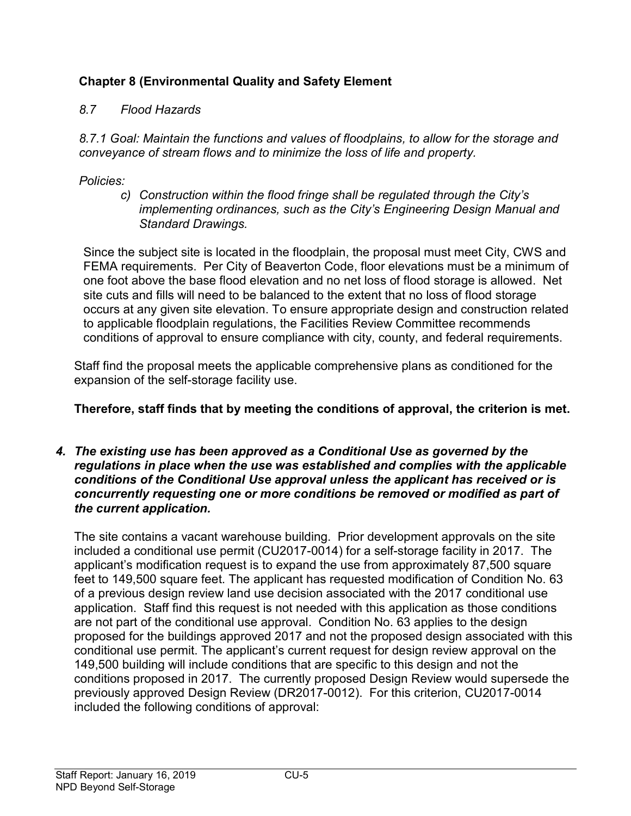# Chapter 8 (Environmental Quality and Safety Element

# 8.7 Flood Hazards

8.7.1 Goal: Maintain the functions and values of floodplains, to allow for the storage and conveyance of stream flows and to minimize the loss of life and property.

Policies:

c) Construction within the flood fringe shall be regulated through the City's implementing ordinances, such as the City's Engineering Design Manual and Standard Drawings.

Since the subject site is located in the floodplain, the proposal must meet City, CWS and FEMA requirements. Per City of Beaverton Code, floor elevations must be a minimum of one foot above the base flood elevation and no net loss of flood storage is allowed. Net site cuts and fills will need to be balanced to the extent that no loss of flood storage occurs at any given site elevation. To ensure appropriate design and construction related to applicable floodplain regulations, the Facilities Review Committee recommends conditions of approval to ensure compliance with city, county, and federal requirements.

Staff find the proposal meets the applicable comprehensive plans as conditioned for the expansion of the self-storage facility use.

# Therefore, staff finds that by meeting the conditions of approval, the criterion is met.

#### 4. The existing use has been approved as a Conditional Use as governed by the regulations in place when the use was established and complies with the applicable conditions of the Conditional Use approval unless the applicant has received or is concurrently requesting one or more conditions be removed or modified as part of the current application.

The site contains a vacant warehouse building. Prior development approvals on the site included a conditional use permit (CU2017-0014) for a self-storage facility in 2017. The applicant's modification request is to expand the use from approximately 87,500 square feet to 149,500 square feet. The applicant has requested modification of Condition No. 63 of a previous design review land use decision associated with the 2017 conditional use application. Staff find this request is not needed with this application as those conditions are not part of the conditional use approval. Condition No. 63 applies to the design proposed for the buildings approved 2017 and not the proposed design associated with this conditional use permit. The applicant's current request for design review approval on the 149,500 building will include conditions that are specific to this design and not the conditions proposed in 2017. The currently proposed Design Review would supersede the previously approved Design Review (DR2017-0012). For this criterion, CU2017-0014 included the following conditions of approval: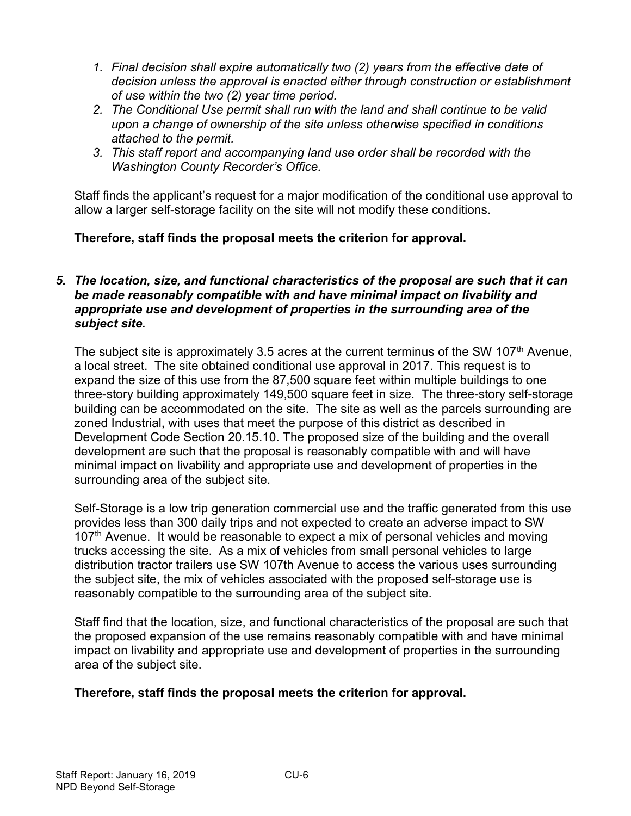- 1. Final decision shall expire automatically two (2) years from the effective date of decision unless the approval is enacted either through construction or establishment of use within the two (2) year time period.
- 2. The Conditional Use permit shall run with the land and shall continue to be valid upon a change of ownership of the site unless otherwise specified in conditions attached to the permit.
- 3. This staff report and accompanying land use order shall be recorded with the Washington County Recorder's Office.

Staff finds the applicant's request for a major modification of the conditional use approval to allow a larger self-storage facility on the site will not modify these conditions.

# Therefore, staff finds the proposal meets the criterion for approval.

### 5. The location, size, and functional characteristics of the proposal are such that it can be made reasonably compatible with and have minimal impact on livability and appropriate use and development of properties in the surrounding area of the subject site.

The subject site is approximately 3.5 acres at the current terminus of the SW 107<sup>th</sup> Avenue, a local street. The site obtained conditional use approval in 2017. This request is to expand the size of this use from the 87,500 square feet within multiple buildings to one three-story building approximately 149,500 square feet in size. The three-story self-storage building can be accommodated on the site. The site as well as the parcels surrounding are zoned Industrial, with uses that meet the purpose of this district as described in Development Code Section 20.15.10. The proposed size of the building and the overall development are such that the proposal is reasonably compatible with and will have minimal impact on livability and appropriate use and development of properties in the surrounding area of the subject site.

Self-Storage is a low trip generation commercial use and the traffic generated from this use provides less than 300 daily trips and not expected to create an adverse impact to SW 107<sup>th</sup> Avenue. It would be reasonable to expect a mix of personal vehicles and moving trucks accessing the site. As a mix of vehicles from small personal vehicles to large distribution tractor trailers use SW 107th Avenue to access the various uses surrounding the subject site, the mix of vehicles associated with the proposed self-storage use is reasonably compatible to the surrounding area of the subject site.

Staff find that the location, size, and functional characteristics of the proposal are such that the proposed expansion of the use remains reasonably compatible with and have minimal impact on livability and appropriate use and development of properties in the surrounding area of the subject site.

# Therefore, staff finds the proposal meets the criterion for approval.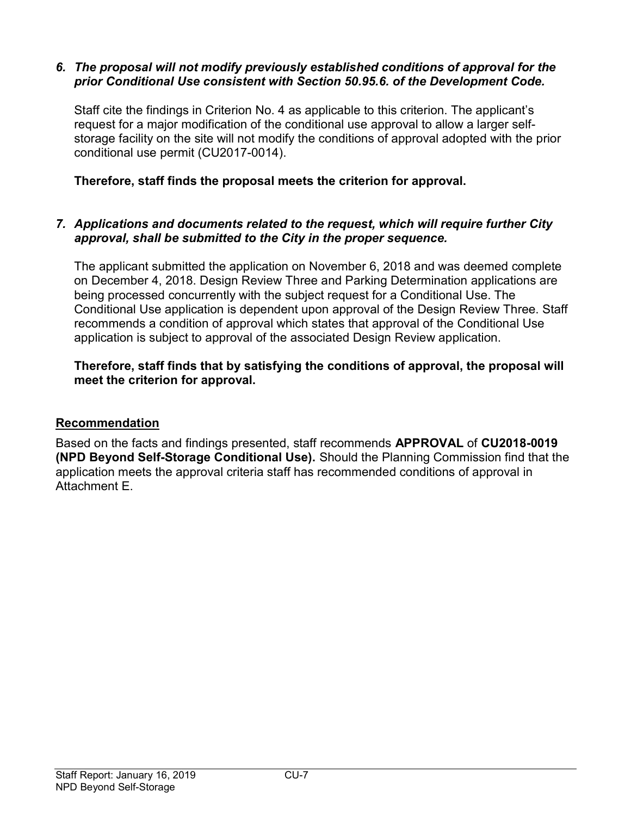### 6. The proposal will not modify previously established conditions of approval for the prior Conditional Use consistent with Section 50.95.6. of the Development Code.

Staff cite the findings in Criterion No. 4 as applicable to this criterion. The applicant's request for a major modification of the conditional use approval to allow a larger selfstorage facility on the site will not modify the conditions of approval adopted with the prior conditional use permit (CU2017-0014).

Therefore, staff finds the proposal meets the criterion for approval.

## 7. Applications and documents related to the request, which will require further City approval, shall be submitted to the City in the proper sequence.

The applicant submitted the application on November 6, 2018 and was deemed complete on December 4, 2018. Design Review Three and Parking Determination applications are being processed concurrently with the subject request for a Conditional Use. The Conditional Use application is dependent upon approval of the Design Review Three. Staff recommends a condition of approval which states that approval of the Conditional Use application is subject to approval of the associated Design Review application.

# Therefore, staff finds that by satisfying the conditions of approval, the proposal will meet the criterion for approval.

# Recommendation

Based on the facts and findings presented, staff recommends APPROVAL of CU2018-0019 (NPD Beyond Self-Storage Conditional Use). Should the Planning Commission find that the application meets the approval criteria staff has recommended conditions of approval in Attachment E.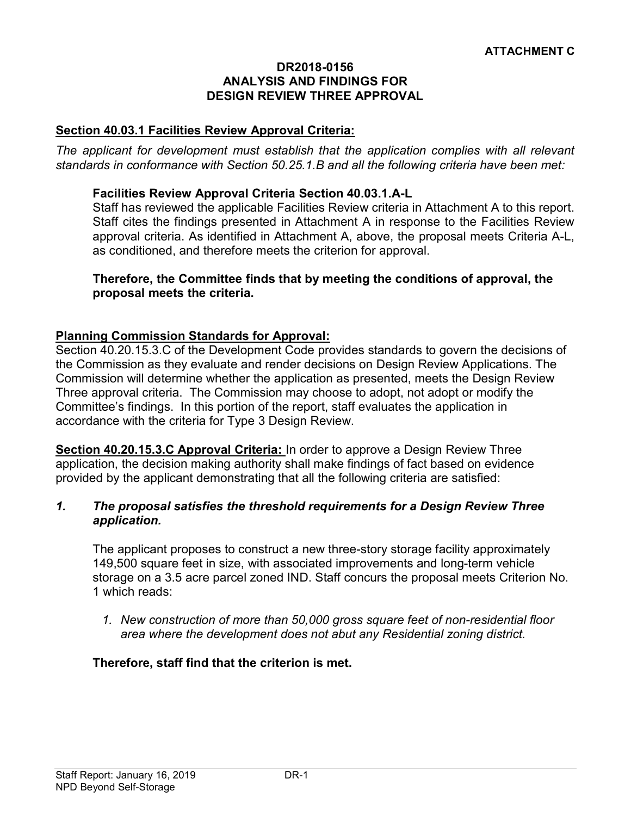#### DR2018-0156 ANALYSIS AND FINDINGS FOR DESIGN REVIEW THREE APPROVAL

### Section 40.03.1 Facilities Review Approval Criteria:

The applicant for development must establish that the application complies with all relevant standards in conformance with Section 50.25.1.B and all the following criteria have been met:

#### Facilities Review Approval Criteria Section 40.03.1.A-L

Staff has reviewed the applicable Facilities Review criteria in Attachment A to this report. Staff cites the findings presented in Attachment A in response to the Facilities Review approval criteria. As identified in Attachment A, above, the proposal meets Criteria A-L, as conditioned, and therefore meets the criterion for approval.

#### Therefore, the Committee finds that by meeting the conditions of approval, the proposal meets the criteria.

#### Planning Commission Standards for Approval:

Section 40.20.15.3.C of the Development Code provides standards to govern the decisions of the Commission as they evaluate and render decisions on Design Review Applications. The Commission will determine whether the application as presented, meets the Design Review Three approval criteria. The Commission may choose to adopt, not adopt or modify the Committee's findings. In this portion of the report, staff evaluates the application in accordance with the criteria for Type 3 Design Review.

Section 40.20.15.3.C Approval Criteria: In order to approve a Design Review Three application, the decision making authority shall make findings of fact based on evidence provided by the applicant demonstrating that all the following criteria are satisfied:

#### 1. The proposal satisfies the threshold requirements for a Design Review Three application.

The applicant proposes to construct a new three-story storage facility approximately 149,500 square feet in size, with associated improvements and long-term vehicle storage on a 3.5 acre parcel zoned IND. Staff concurs the proposal meets Criterion No. 1 which reads:

1. New construction of more than 50,000 gross square feet of non-residential floor area where the development does not abut any Residential zoning district.

#### Therefore, staff find that the criterion is met.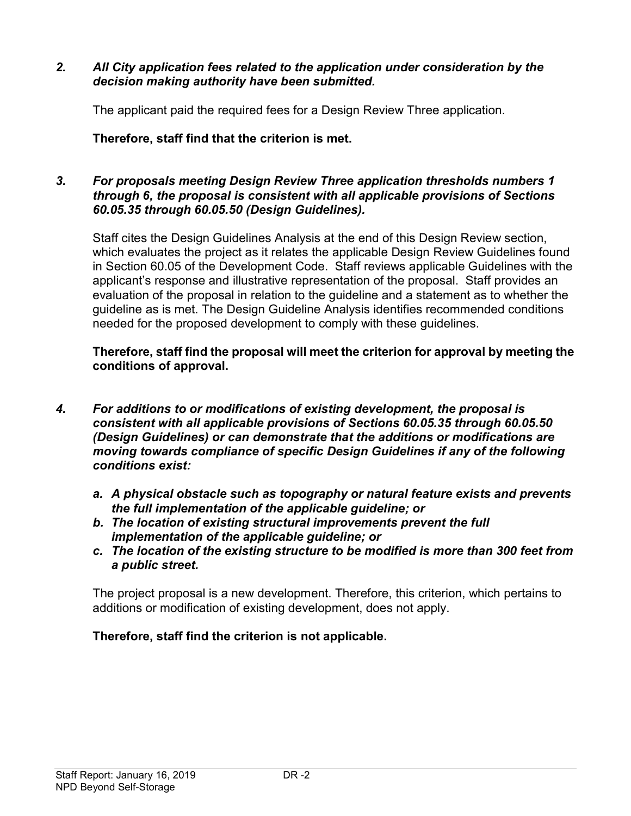### 2. All City application fees related to the application under consideration by the decision making authority have been submitted.

The applicant paid the required fees for a Design Review Three application.

Therefore, staff find that the criterion is met.

### 3. For proposals meeting Design Review Three application thresholds numbers 1 through 6, the proposal is consistent with all applicable provisions of Sections 60.05.35 through 60.05.50 (Design Guidelines).

Staff cites the Design Guidelines Analysis at the end of this Design Review section, which evaluates the project as it relates the applicable Design Review Guidelines found in Section 60.05 of the Development Code. Staff reviews applicable Guidelines with the applicant's response and illustrative representation of the proposal. Staff provides an evaluation of the proposal in relation to the guideline and a statement as to whether the guideline as is met. The Design Guideline Analysis identifies recommended conditions needed for the proposed development to comply with these guidelines.

Therefore, staff find the proposal will meet the criterion for approval by meeting the conditions of approval.

- 4. For additions to or modifications of existing development, the proposal is consistent with all applicable provisions of Sections 60.05.35 through 60.05.50 (Design Guidelines) or can demonstrate that the additions or modifications are moving towards compliance of specific Design Guidelines if any of the following conditions exist:
	- a. A physical obstacle such as topography or natural feature exists and prevents the full implementation of the applicable guideline; or
	- b. The location of existing structural improvements prevent the full implementation of the applicable guideline; or
	- c. The location of the existing structure to be modified is more than 300 feet from a public street.

The project proposal is a new development. Therefore, this criterion, which pertains to additions or modification of existing development, does not apply.

### Therefore, staff find the criterion is not applicable.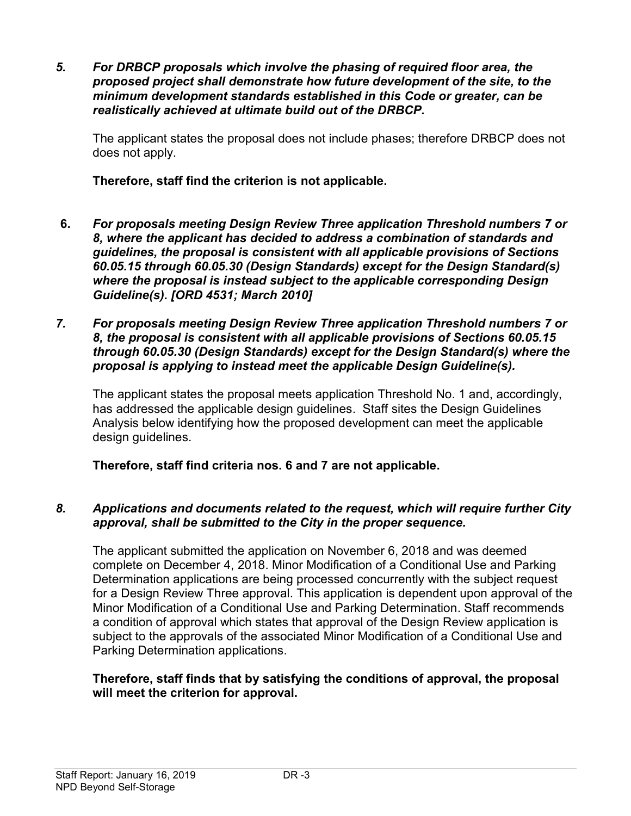5. For DRBCP proposals which involve the phasing of required floor area, the proposed project shall demonstrate how future development of the site, to the minimum development standards established in this Code or greater, can be realistically achieved at ultimate build out of the DRBCP.

The applicant states the proposal does not include phases; therefore DRBCP does not does not apply.

Therefore, staff find the criterion is not applicable.

- 6. For proposals meeting Design Review Three application Threshold numbers 7 or 8, where the applicant has decided to address a combination of standards and guidelines, the proposal is consistent with all applicable provisions of Sections 60.05.15 through 60.05.30 (Design Standards) except for the Design Standard(s) where the proposal is instead subject to the applicable corresponding Design Guideline(s). [ORD 4531; March 2010]
- 7. For proposals meeting Design Review Three application Threshold numbers 7 or 8, the proposal is consistent with all applicable provisions of Sections 60.05.15 through 60.05.30 (Design Standards) except for the Design Standard(s) where the proposal is applying to instead meet the applicable Design Guideline(s).

The applicant states the proposal meets application Threshold No. 1 and, accordingly, has addressed the applicable design guidelines. Staff sites the Design Guidelines Analysis below identifying how the proposed development can meet the applicable design guidelines.

Therefore, staff find criteria nos. 6 and 7 are not applicable.

# 8. Applications and documents related to the request, which will require further City approval, shall be submitted to the City in the proper sequence.

The applicant submitted the application on November 6, 2018 and was deemed complete on December 4, 2018. Minor Modification of a Conditional Use and Parking Determination applications are being processed concurrently with the subject request for a Design Review Three approval. This application is dependent upon approval of the Minor Modification of a Conditional Use and Parking Determination. Staff recommends a condition of approval which states that approval of the Design Review application is subject to the approvals of the associated Minor Modification of a Conditional Use and Parking Determination applications.

### Therefore, staff finds that by satisfying the conditions of approval, the proposal will meet the criterion for approval.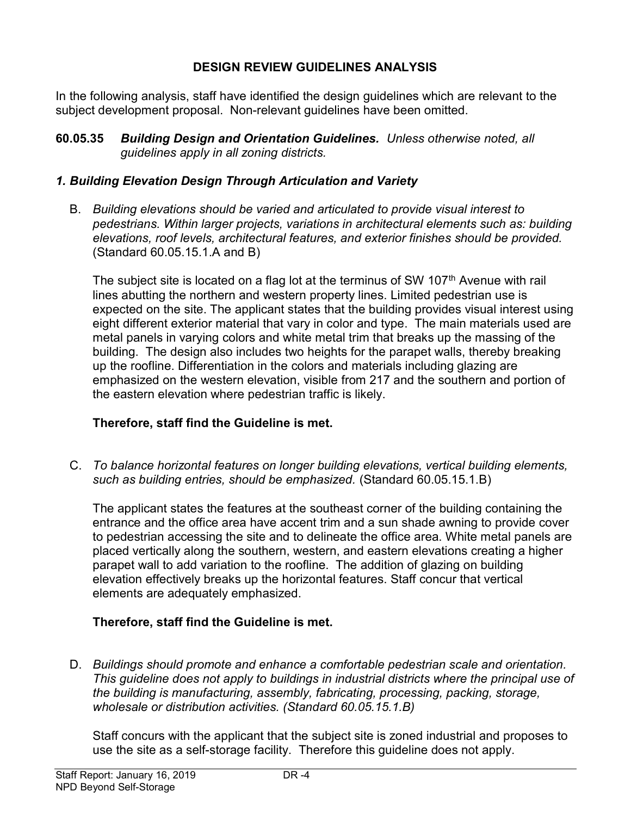### DESIGN REVIEW GUIDELINES ANALYSIS

In the following analysis, staff have identified the design guidelines which are relevant to the subject development proposal. Non-relevant guidelines have been omitted.

60.05.35 Building Design and Orientation Guidelines. Unless otherwise noted, all guidelines apply in all zoning districts.

# 1. Building Elevation Design Through Articulation and Variety

B. Building elevations should be varied and articulated to provide visual interest to pedestrians. Within larger projects, variations in architectural elements such as: building elevations, roof levels, architectural features, and exterior finishes should be provided. (Standard 60.05.15.1.A and B)

The subject site is located on a flag lot at the terminus of SW 107<sup>th</sup> Avenue with rail lines abutting the northern and western property lines. Limited pedestrian use is expected on the site. The applicant states that the building provides visual interest using eight different exterior material that vary in color and type. The main materials used are metal panels in varying colors and white metal trim that breaks up the massing of the building. The design also includes two heights for the parapet walls, thereby breaking up the roofline. Differentiation in the colors and materials including glazing are emphasized on the western elevation, visible from 217 and the southern and portion of the eastern elevation where pedestrian traffic is likely.

# Therefore, staff find the Guideline is met.

C. To balance horizontal features on longer building elevations, vertical building elements, such as building entries, should be emphasized. (Standard 60.05.15.1.B)

The applicant states the features at the southeast corner of the building containing the entrance and the office area have accent trim and a sun shade awning to provide cover to pedestrian accessing the site and to delineate the office area. White metal panels are placed vertically along the southern, western, and eastern elevations creating a higher parapet wall to add variation to the roofline. The addition of glazing on building elevation effectively breaks up the horizontal features. Staff concur that vertical elements are adequately emphasized.

# Therefore, staff find the Guideline is met.

D. Buildings should promote and enhance a comfortable pedestrian scale and orientation. This guideline does not apply to buildings in industrial districts where the principal use of the building is manufacturing, assembly, fabricating, processing, packing, storage, wholesale or distribution activities. (Standard 60.05.15.1.B)

Staff concurs with the applicant that the subject site is zoned industrial and proposes to use the site as a self-storage facility. Therefore this guideline does not apply.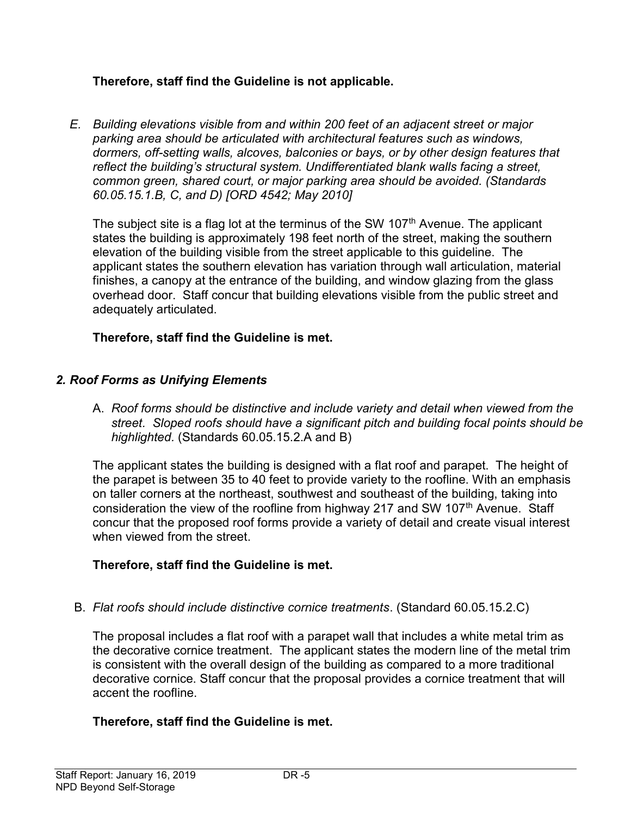# Therefore, staff find the Guideline is not applicable.

E. Building elevations visible from and within 200 feet of an adjacent street or major parking area should be articulated with architectural features such as windows, dormers, off-setting walls, alcoves, balconies or bays, or by other design features that reflect the building's structural system. Undifferentiated blank walls facing a street, common green, shared court, or major parking area should be avoided. (Standards 60.05.15.1.B, C, and D) [ORD 4542; May 2010]

The subject site is a flag lot at the terminus of the SW 107<sup>th</sup> Avenue. The applicant states the building is approximately 198 feet north of the street, making the southern elevation of the building visible from the street applicable to this guideline. The applicant states the southern elevation has variation through wall articulation, material finishes, a canopy at the entrance of the building, and window glazing from the glass overhead door. Staff concur that building elevations visible from the public street and adequately articulated.

# Therefore, staff find the Guideline is met.

# 2. Roof Forms as Unifying Elements

A. Roof forms should be distinctive and include variety and detail when viewed from the street. Sloped roofs should have a significant pitch and building focal points should be highlighted. (Standards 60.05.15.2.A and B)

The applicant states the building is designed with a flat roof and parapet. The height of the parapet is between 35 to 40 feet to provide variety to the roofline. With an emphasis on taller corners at the northeast, southwest and southeast of the building, taking into consideration the view of the roofline from highway 217 and SW 107<sup>th</sup> Avenue. Staff concur that the proposed roof forms provide a variety of detail and create visual interest when viewed from the street.

# Therefore, staff find the Guideline is met.

B. Flat roofs should include distinctive cornice treatments. (Standard 60.05.15.2.C)

The proposal includes a flat roof with a parapet wall that includes a white metal trim as the decorative cornice treatment. The applicant states the modern line of the metal trim is consistent with the overall design of the building as compared to a more traditional decorative cornice. Staff concur that the proposal provides a cornice treatment that will accent the roofline.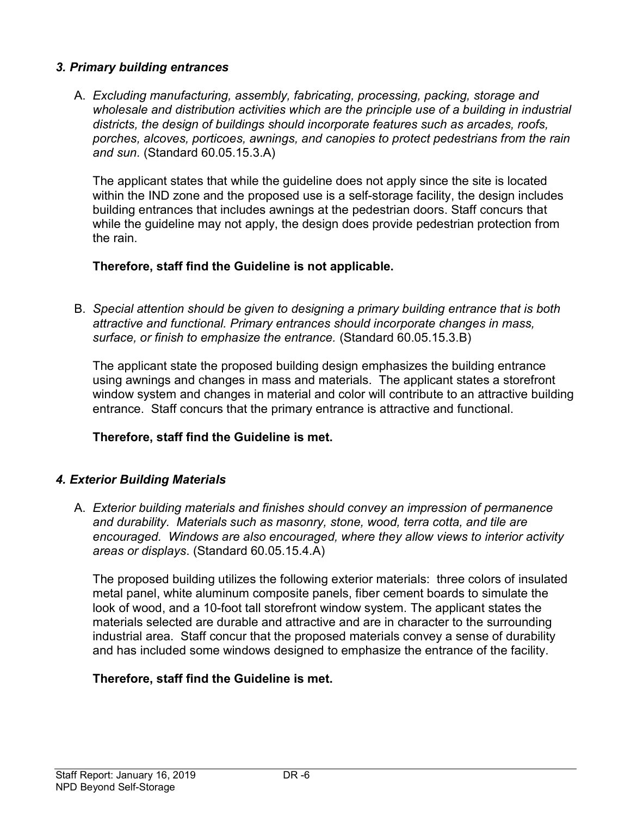### 3. Primary building entrances

A. Excluding manufacturing, assembly, fabricating, processing, packing, storage and wholesale and distribution activities which are the principle use of a building in industrial districts, the design of buildings should incorporate features such as arcades, roofs, porches, alcoves, porticoes, awnings, and canopies to protect pedestrians from the rain and sun. (Standard 60.05.15.3.A)

The applicant states that while the guideline does not apply since the site is located within the IND zone and the proposed use is a self-storage facility, the design includes building entrances that includes awnings at the pedestrian doors. Staff concurs that while the guideline may not apply, the design does provide pedestrian protection from the rain.

# Therefore, staff find the Guideline is not applicable.

B. Special attention should be given to designing a primary building entrance that is both attractive and functional. Primary entrances should incorporate changes in mass, surface, or finish to emphasize the entrance. (Standard 60.05.15.3.B)

The applicant state the proposed building design emphasizes the building entrance using awnings and changes in mass and materials. The applicant states a storefront window system and changes in material and color will contribute to an attractive building entrance. Staff concurs that the primary entrance is attractive and functional.

### Therefore, staff find the Guideline is met.

### 4. Exterior Building Materials

A. Exterior building materials and finishes should convey an impression of permanence and durability. Materials such as masonry, stone, wood, terra cotta, and tile are encouraged. Windows are also encouraged, where they allow views to interior activity areas or displays. (Standard 60.05.15.4.A)

The proposed building utilizes the following exterior materials: three colors of insulated metal panel, white aluminum composite panels, fiber cement boards to simulate the look of wood, and a 10-foot tall storefront window system. The applicant states the materials selected are durable and attractive and are in character to the surrounding industrial area. Staff concur that the proposed materials convey a sense of durability and has included some windows designed to emphasize the entrance of the facility.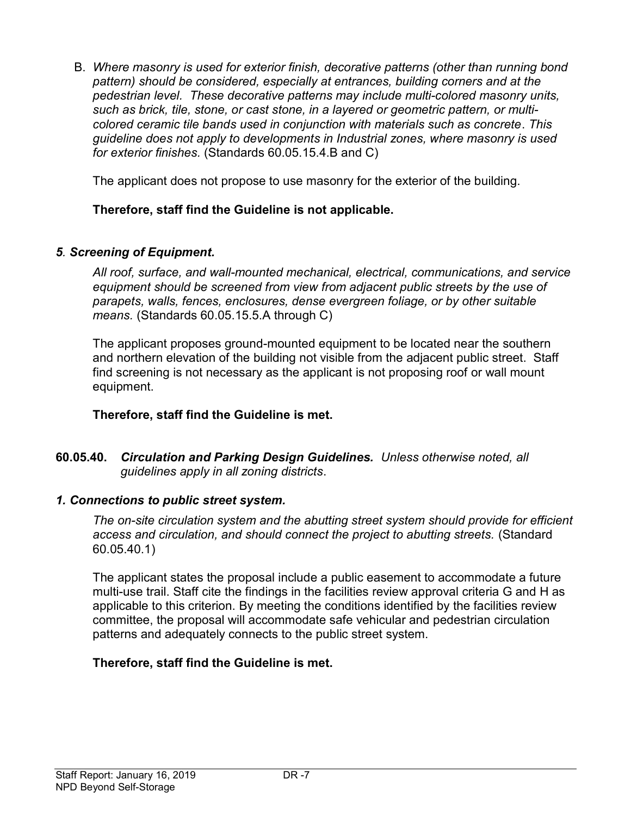B. Where masonry is used for exterior finish, decorative patterns (other than running bond pattern) should be considered, especially at entrances, building corners and at the pedestrian level. These decorative patterns may include multi-colored masonry units, such as brick, tile, stone, or cast stone, in a layered or geometric pattern, or multicolored ceramic tile bands used in conjunction with materials such as concrete. This guideline does not apply to developments in Industrial zones, where masonry is used for exterior finishes. (Standards 60.05.15.4.B and C)

The applicant does not propose to use masonry for the exterior of the building.

# Therefore, staff find the Guideline is not applicable.

### 5. Screening of Equipment.

All roof, surface, and wall-mounted mechanical, electrical, communications, and service equipment should be screened from view from adjacent public streets by the use of parapets, walls, fences, enclosures, dense evergreen foliage, or by other suitable means. (Standards 60.05.15.5.A through C)

The applicant proposes ground-mounted equipment to be located near the southern and northern elevation of the building not visible from the adjacent public street. Staff find screening is not necessary as the applicant is not proposing roof or wall mount equipment.

### Therefore, staff find the Guideline is met.

60.05.40. Circulation and Parking Design Guidelines. Unless otherwise noted, all guidelines apply in all zoning districts.

### 1. Connections to public street system.

The on-site circulation system and the abutting street system should provide for efficient access and circulation, and should connect the project to abutting streets. (Standard 60.05.40.1)

The applicant states the proposal include a public easement to accommodate a future multi-use trail. Staff cite the findings in the facilities review approval criteria G and H as applicable to this criterion. By meeting the conditions identified by the facilities review committee, the proposal will accommodate safe vehicular and pedestrian circulation patterns and adequately connects to the public street system.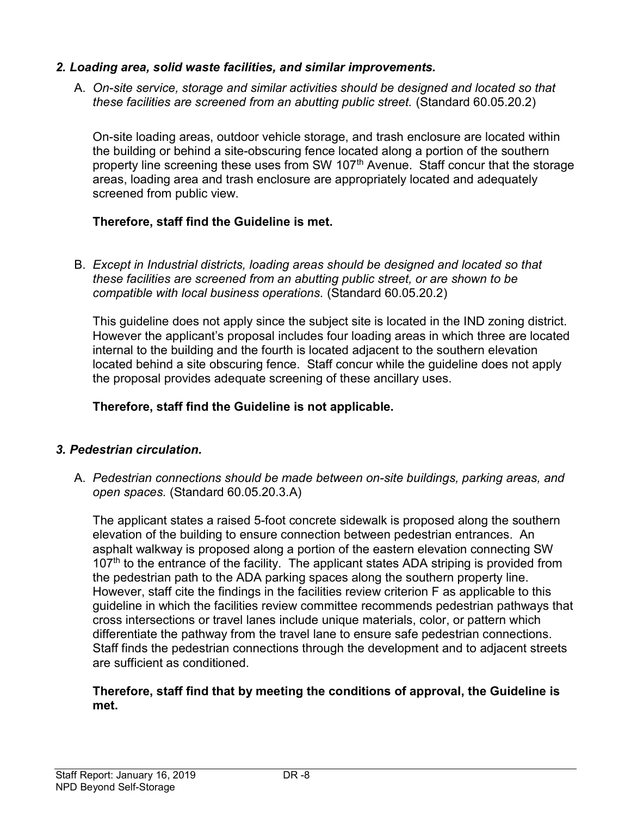### 2. Loading area, solid waste facilities, and similar improvements.

A. On-site service, storage and similar activities should be designed and located so that these facilities are screened from an abutting public street. (Standard 60.05.20.2)

On-site loading areas, outdoor vehicle storage, and trash enclosure are located within the building or behind a site-obscuring fence located along a portion of the southern property line screening these uses from SW 107<sup>th</sup> Avenue. Staff concur that the storage areas, loading area and trash enclosure are appropriately located and adequately screened from public view.

### Therefore, staff find the Guideline is met.

B. Except in Industrial districts, loading areas should be designed and located so that these facilities are screened from an abutting public street, or are shown to be compatible with local business operations. (Standard 60.05.20.2)

This guideline does not apply since the subject site is located in the IND zoning district. However the applicant's proposal includes four loading areas in which three are located internal to the building and the fourth is located adjacent to the southern elevation located behind a site obscuring fence. Staff concur while the guideline does not apply the proposal provides adequate screening of these ancillary uses.

### Therefore, staff find the Guideline is not applicable.

### 3. Pedestrian circulation.

A. Pedestrian connections should be made between on-site buildings, parking areas, and open spaces. (Standard 60.05.20.3.A)

The applicant states a raised 5-foot concrete sidewalk is proposed along the southern elevation of the building to ensure connection between pedestrian entrances. An asphalt walkway is proposed along a portion of the eastern elevation connecting SW 107<sup>th</sup> to the entrance of the facility. The applicant states ADA striping is provided from the pedestrian path to the ADA parking spaces along the southern property line. However, staff cite the findings in the facilities review criterion F as applicable to this guideline in which the facilities review committee recommends pedestrian pathways that cross intersections or travel lanes include unique materials, color, or pattern which differentiate the pathway from the travel lane to ensure safe pedestrian connections. Staff finds the pedestrian connections through the development and to adjacent streets are sufficient as conditioned.

#### Therefore, staff find that by meeting the conditions of approval, the Guideline is met.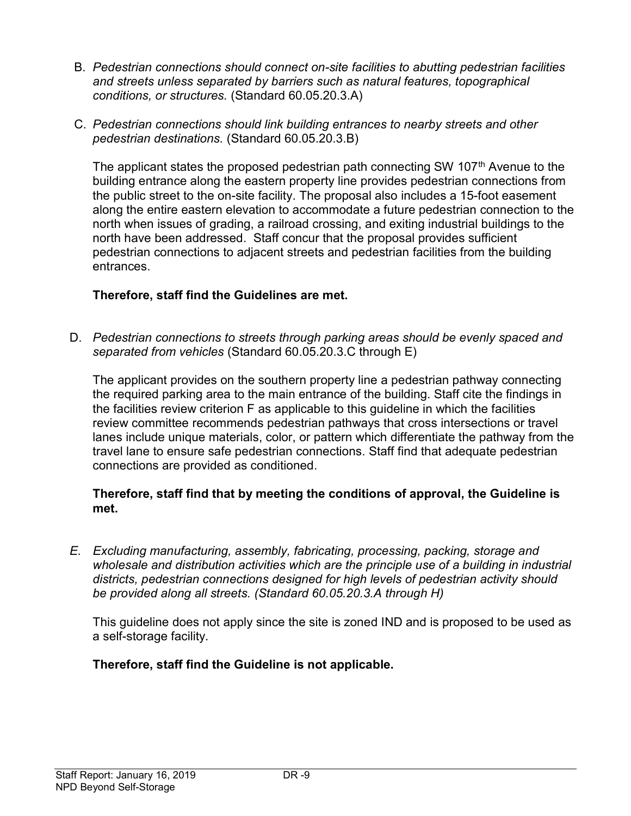- B. Pedestrian connections should connect on-site facilities to abutting pedestrian facilities and streets unless separated by barriers such as natural features, topographical conditions, or structures. (Standard 60.05.20.3.A)
- C. Pedestrian connections should link building entrances to nearby streets and other pedestrian destinations. (Standard 60.05.20.3.B)

The applicant states the proposed pedestrian path connecting SW  $107<sup>th</sup>$  Avenue to the building entrance along the eastern property line provides pedestrian connections from the public street to the on-site facility. The proposal also includes a 15-foot easement along the entire eastern elevation to accommodate a future pedestrian connection to the north when issues of grading, a railroad crossing, and exiting industrial buildings to the north have been addressed. Staff concur that the proposal provides sufficient pedestrian connections to adjacent streets and pedestrian facilities from the building entrances.

# Therefore, staff find the Guidelines are met.

D. Pedestrian connections to streets through parking areas should be evenly spaced and separated from vehicles (Standard 60.05.20.3.C through E)

The applicant provides on the southern property line a pedestrian pathway connecting the required parking area to the main entrance of the building. Staff cite the findings in the facilities review criterion F as applicable to this guideline in which the facilities review committee recommends pedestrian pathways that cross intersections or travel lanes include unique materials, color, or pattern which differentiate the pathway from the travel lane to ensure safe pedestrian connections. Staff find that adequate pedestrian connections are provided as conditioned.

### Therefore, staff find that by meeting the conditions of approval, the Guideline is met.

E. Excluding manufacturing, assembly, fabricating, processing, packing, storage and wholesale and distribution activities which are the principle use of a building in industrial districts, pedestrian connections designed for high levels of pedestrian activity should be provided along all streets. (Standard 60.05.20.3.A through H)

This guideline does not apply since the site is zoned IND and is proposed to be used as a self-storage facility.

Therefore, staff find the Guideline is not applicable.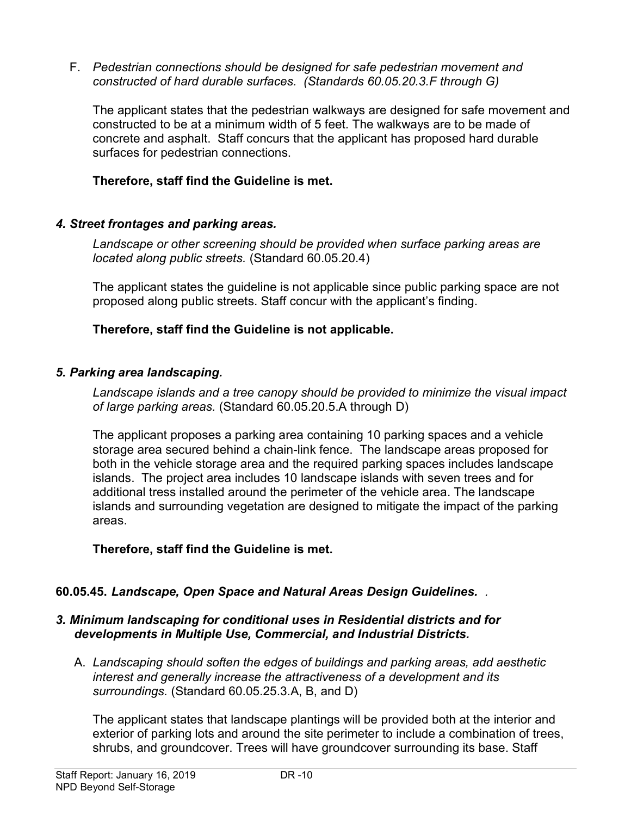F. Pedestrian connections should be designed for safe pedestrian movement and constructed of hard durable surfaces. (Standards 60.05.20.3.F through G)

The applicant states that the pedestrian walkways are designed for safe movement and constructed to be at a minimum width of 5 feet. The walkways are to be made of concrete and asphalt. Staff concurs that the applicant has proposed hard durable surfaces for pedestrian connections.

### Therefore, staff find the Guideline is met.

### 4. Street frontages and parking areas.

Landscape or other screening should be provided when surface parking areas are located along public streets. (Standard 60.05.20.4)

The applicant states the guideline is not applicable since public parking space are not proposed along public streets. Staff concur with the applicant's finding.

### Therefore, staff find the Guideline is not applicable.

### 5. Parking area landscaping.

Landscape islands and a tree canopy should be provided to minimize the visual impact of large parking areas. (Standard 60.05.20.5.A through D)

The applicant proposes a parking area containing 10 parking spaces and a vehicle storage area secured behind a chain-link fence. The landscape areas proposed for both in the vehicle storage area and the required parking spaces includes landscape islands. The project area includes 10 landscape islands with seven trees and for additional tress installed around the perimeter of the vehicle area. The landscape islands and surrounding vegetation are designed to mitigate the impact of the parking areas.

### Therefore, staff find the Guideline is met.

### 60.05.45. Landscape, Open Space and Natural Areas Design Guidelines. .

### 3. Minimum landscaping for conditional uses in Residential districts and for developments in Multiple Use, Commercial, and Industrial Districts.

A. Landscaping should soften the edges of buildings and parking areas, add aesthetic interest and generally increase the attractiveness of a development and its surroundings. (Standard 60.05.25.3.A, B, and D)

The applicant states that landscape plantings will be provided both at the interior and exterior of parking lots and around the site perimeter to include a combination of trees, shrubs, and groundcover. Trees will have groundcover surrounding its base. Staff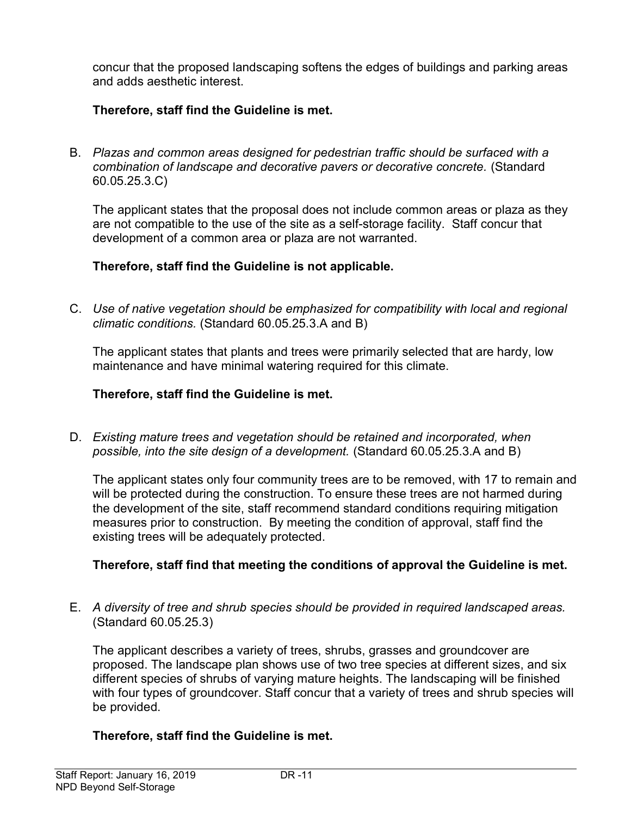concur that the proposed landscaping softens the edges of buildings and parking areas and adds aesthetic interest.

# Therefore, staff find the Guideline is met.

B. Plazas and common areas designed for pedestrian traffic should be surfaced with a combination of landscape and decorative pavers or decorative concrete. (Standard 60.05.25.3.C)

The applicant states that the proposal does not include common areas or plaza as they are not compatible to the use of the site as a self-storage facility. Staff concur that development of a common area or plaza are not warranted.

# Therefore, staff find the Guideline is not applicable.

C. Use of native vegetation should be emphasized for compatibility with local and regional climatic conditions. (Standard 60.05.25.3.A and B)

The applicant states that plants and trees were primarily selected that are hardy, low maintenance and have minimal watering required for this climate.

### Therefore, staff find the Guideline is met.

D. Existing mature trees and vegetation should be retained and incorporated, when possible, into the site design of a development. (Standard 60.05.25.3.A and B)

The applicant states only four community trees are to be removed, with 17 to remain and will be protected during the construction. To ensure these trees are not harmed during the development of the site, staff recommend standard conditions requiring mitigation measures prior to construction. By meeting the condition of approval, staff find the existing trees will be adequately protected.

# Therefore, staff find that meeting the conditions of approval the Guideline is met.

E. A diversity of tree and shrub species should be provided in required landscaped areas. (Standard 60.05.25.3)

The applicant describes a variety of trees, shrubs, grasses and groundcover are proposed. The landscape plan shows use of two tree species at different sizes, and six different species of shrubs of varying mature heights. The landscaping will be finished with four types of groundcover. Staff concur that a variety of trees and shrub species will be provided.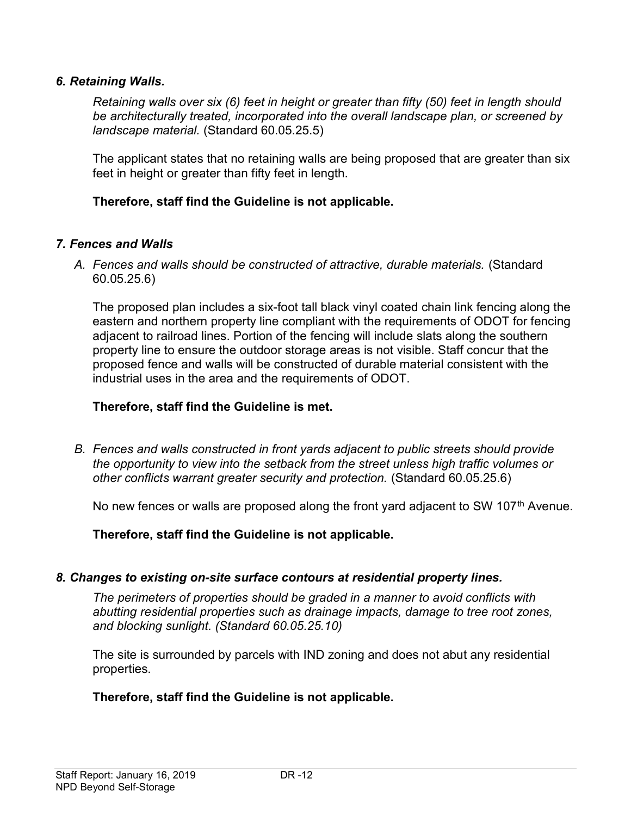### 6. Retaining Walls.

Retaining walls over six (6) feet in height or greater than fifty (50) feet in length should be architecturally treated, incorporated into the overall landscape plan, or screened by landscape material. (Standard 60.05.25.5)

The applicant states that no retaining walls are being proposed that are greater than six feet in height or greater than fifty feet in length.

### Therefore, staff find the Guideline is not applicable.

### 7. Fences and Walls

A. Fences and walls should be constructed of attractive, durable materials. (Standard 60.05.25.6)

The proposed plan includes a six-foot tall black vinyl coated chain link fencing along the eastern and northern property line compliant with the requirements of ODOT for fencing adjacent to railroad lines. Portion of the fencing will include slats along the southern property line to ensure the outdoor storage areas is not visible. Staff concur that the proposed fence and walls will be constructed of durable material consistent with the industrial uses in the area and the requirements of ODOT.

### Therefore, staff find the Guideline is met.

B. Fences and walls constructed in front yards adjacent to public streets should provide the opportunity to view into the setback from the street unless high traffic volumes or other conflicts warrant greater security and protection. (Standard 60.05.25.6)

No new fences or walls are proposed along the front yard adjacent to SW 107<sup>th</sup> Avenue.

Therefore, staff find the Guideline is not applicable.

#### 8. Changes to existing on-site surface contours at residential property lines.

The perimeters of properties should be graded in a manner to avoid conflicts with abutting residential properties such as drainage impacts, damage to tree root zones, and blocking sunlight. (Standard 60.05.25.10)

The site is surrounded by parcels with IND zoning and does not abut any residential properties.

### Therefore, staff find the Guideline is not applicable.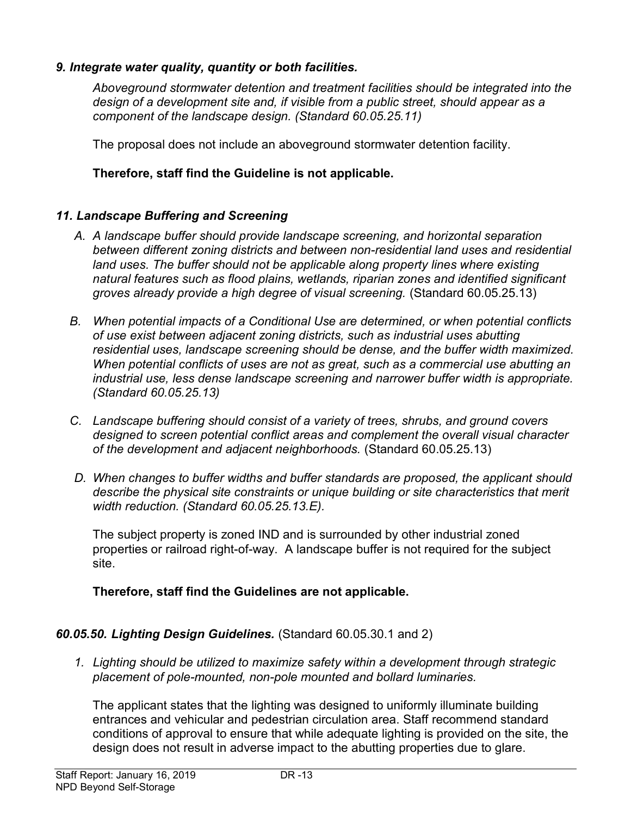## 9. Integrate water quality, quantity or both facilities.

Aboveground stormwater detention and treatment facilities should be integrated into the design of a development site and, if visible from a public street, should appear as a component of the landscape design. (Standard 60.05.25.11)

The proposal does not include an aboveground stormwater detention facility.

## Therefore, staff find the Guideline is not applicable.

# 11. Landscape Buffering and Screening

- A. A landscape buffer should provide landscape screening, and horizontal separation between different zoning districts and between non-residential land uses and residential land uses. The buffer should not be applicable along property lines where existing natural features such as flood plains, wetlands, riparian zones and identified significant groves already provide a high degree of visual screening. (Standard 60.05.25.13)
- B. When potential impacts of a Conditional Use are determined, or when potential conflicts of use exist between adjacent zoning districts, such as industrial uses abutting residential uses, landscape screening should be dense, and the buffer width maximized. When potential conflicts of uses are not as great, such as a commercial use abutting an industrial use, less dense landscape screening and narrower buffer width is appropriate. (Standard 60.05.25.13)
- C. Landscape buffering should consist of a variety of trees, shrubs, and ground covers designed to screen potential conflict areas and complement the overall visual character of the development and adjacent neighborhoods. (Standard 60.05.25.13)
- D. When changes to buffer widths and buffer standards are proposed, the applicant should describe the physical site constraints or unique building or site characteristics that merit width reduction. (Standard 60.05.25.13.E).

The subject property is zoned IND and is surrounded by other industrial zoned properties or railroad right-of-way. A landscape buffer is not required for the subject site.

### Therefore, staff find the Guidelines are not applicable.

### 60.05.50. Lighting Design Guidelines. (Standard 60.05.30.1 and 2)

1. Lighting should be utilized to maximize safety within a development through strategic placement of pole-mounted, non-pole mounted and bollard luminaries.

The applicant states that the lighting was designed to uniformly illuminate building entrances and vehicular and pedestrian circulation area. Staff recommend standard conditions of approval to ensure that while adequate lighting is provided on the site, the design does not result in adverse impact to the abutting properties due to glare.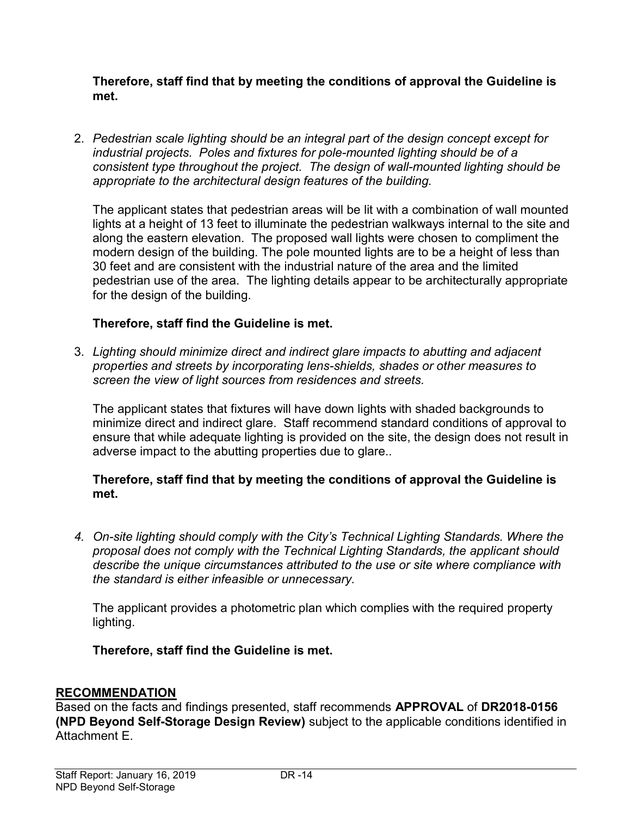Therefore, staff find that by meeting the conditions of approval the Guideline is met.

2. Pedestrian scale lighting should be an integral part of the design concept except for industrial projects. Poles and fixtures for pole-mounted lighting should be of a consistent type throughout the project. The design of wall-mounted lighting should be appropriate to the architectural design features of the building.

The applicant states that pedestrian areas will be lit with a combination of wall mounted lights at a height of 13 feet to illuminate the pedestrian walkways internal to the site and along the eastern elevation. The proposed wall lights were chosen to compliment the modern design of the building. The pole mounted lights are to be a height of less than 30 feet and are consistent with the industrial nature of the area and the limited pedestrian use of the area. The lighting details appear to be architecturally appropriate for the design of the building.

# Therefore, staff find the Guideline is met.

3. Lighting should minimize direct and indirect glare impacts to abutting and adjacent properties and streets by incorporating lens-shields, shades or other measures to screen the view of light sources from residences and streets.

The applicant states that fixtures will have down lights with shaded backgrounds to minimize direct and indirect glare. Staff recommend standard conditions of approval to ensure that while adequate lighting is provided on the site, the design does not result in adverse impact to the abutting properties due to glare..

### Therefore, staff find that by meeting the conditions of approval the Guideline is met.

4. On-site lighting should comply with the City's Technical Lighting Standards. Where the proposal does not comply with the Technical Lighting Standards, the applicant should describe the unique circumstances attributed to the use or site where compliance with the standard is either infeasible or unnecessary.

The applicant provides a photometric plan which complies with the required property lighting.

### Therefore, staff find the Guideline is met.

### RECOMMENDATION

Based on the facts and findings presented, staff recommends APPROVAL of DR2018-0156 (NPD Beyond Self-Storage Design Review) subject to the applicable conditions identified in Attachment E.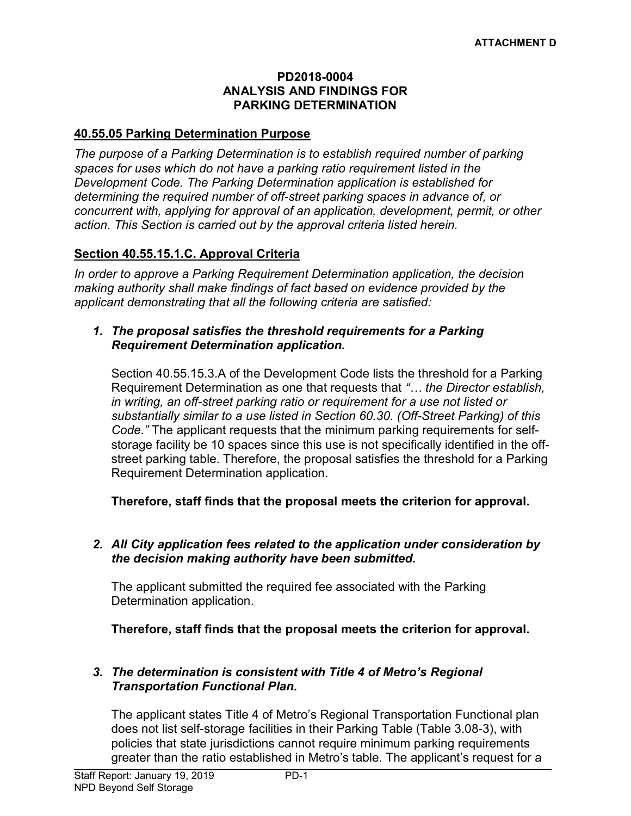#### PD2018-0004 ANALYSIS AND FINDINGS FOR PARKING DETERMINATION

#### 40.55.05 Parking Determination Purpose

The purpose of a Parking Determination is to establish required number of parking spaces for uses which do not have a parking ratio requirement listed in the Development Code. The Parking Determination application is established for determining the required number of off-street parking spaces in advance of, or concurrent with, applying for approval of an application, development, permit, or other action. This Section is carried out by the approval criteria listed herein.

### Section 40.55.15.1.C. Approval Criteria

In order to approve a Parking Requirement Determination application, the decision making authority shall make findings of fact based on evidence provided by the applicant demonstrating that all the following criteria are satisfied:

#### 1. The proposal satisfies the threshold requirements for a Parking Requirement Determination application.

Section 40.55.15.3.A of the Development Code lists the threshold for a Parking Requirement Determination as one that requests that "... the Director establish, in writing, an off-street parking ratio or requirement for a use not listed or substantially similar to a use listed in Section 60.30. (Off-Street Parking) of this Code." The applicant requests that the minimum parking requirements for selfstorage facility be 10 spaces since this use is not specifically identified in the offstreet parking table. Therefore, the proposal satisfies the threshold for a Parking Requirement Determination application.

Therefore, staff finds that the proposal meets the criterion for approval.

#### 2. All City application fees related to the application under consideration by the decision making authority have been submitted.

The applicant submitted the required fee associated with the Parking Determination application.

Therefore, staff finds that the proposal meets the criterion for approval.

### 3. The determination is consistent with Title 4 of Metro's Regional Transportation Functional Plan.

The applicant states Title 4 of Metro's Regional Transportation Functional plan does not list self-storage facilities in their Parking Table (Table 3.08-3), with policies that state jurisdictions cannot require minimum parking requirements greater than the ratio established in Metro's table. The applicant's request for a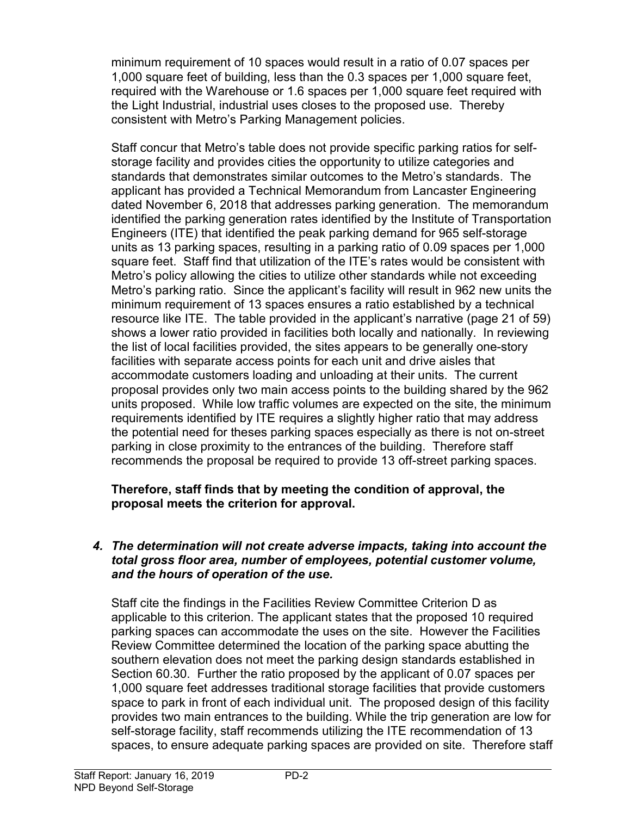minimum requirement of 10 spaces would result in a ratio of 0.07 spaces per 1,000 square feet of building, less than the 0.3 spaces per 1,000 square feet, required with the Warehouse or 1.6 spaces per 1,000 square feet required with the Light Industrial, industrial uses closes to the proposed use. Thereby consistent with Metro's Parking Management policies.

Staff concur that Metro's table does not provide specific parking ratios for selfstorage facility and provides cities the opportunity to utilize categories and standards that demonstrates similar outcomes to the Metro's standards. The applicant has provided a Technical Memorandum from Lancaster Engineering dated November 6, 2018 that addresses parking generation. The memorandum identified the parking generation rates identified by the Institute of Transportation Engineers (ITE) that identified the peak parking demand for 965 self-storage units as 13 parking spaces, resulting in a parking ratio of 0.09 spaces per 1,000 square feet. Staff find that utilization of the ITE's rates would be consistent with Metro's policy allowing the cities to utilize other standards while not exceeding Metro's parking ratio. Since the applicant's facility will result in 962 new units the minimum requirement of 13 spaces ensures a ratio established by a technical resource like ITE. The table provided in the applicant's narrative (page 21 of 59) shows a lower ratio provided in facilities both locally and nationally. In reviewing the list of local facilities provided, the sites appears to be generally one-story facilities with separate access points for each unit and drive aisles that accommodate customers loading and unloading at their units. The current proposal provides only two main access points to the building shared by the 962 units proposed. While low traffic volumes are expected on the site, the minimum requirements identified by ITE requires a slightly higher ratio that may address the potential need for theses parking spaces especially as there is not on-street parking in close proximity to the entrances of the building. Therefore staff recommends the proposal be required to provide 13 off-street parking spaces.

### Therefore, staff finds that by meeting the condition of approval, the proposal meets the criterion for approval.

### 4. The determination will not create adverse impacts, taking into account the total gross floor area, number of employees, potential customer volume, and the hours of operation of the use.

Staff cite the findings in the Facilities Review Committee Criterion D as applicable to this criterion. The applicant states that the proposed 10 required parking spaces can accommodate the uses on the site. However the Facilities Review Committee determined the location of the parking space abutting the southern elevation does not meet the parking design standards established in Section 60.30. Further the ratio proposed by the applicant of 0.07 spaces per 1,000 square feet addresses traditional storage facilities that provide customers space to park in front of each individual unit. The proposed design of this facility provides two main entrances to the building. While the trip generation are low for self-storage facility, staff recommends utilizing the ITE recommendation of 13 spaces, to ensure adequate parking spaces are provided on site. Therefore staff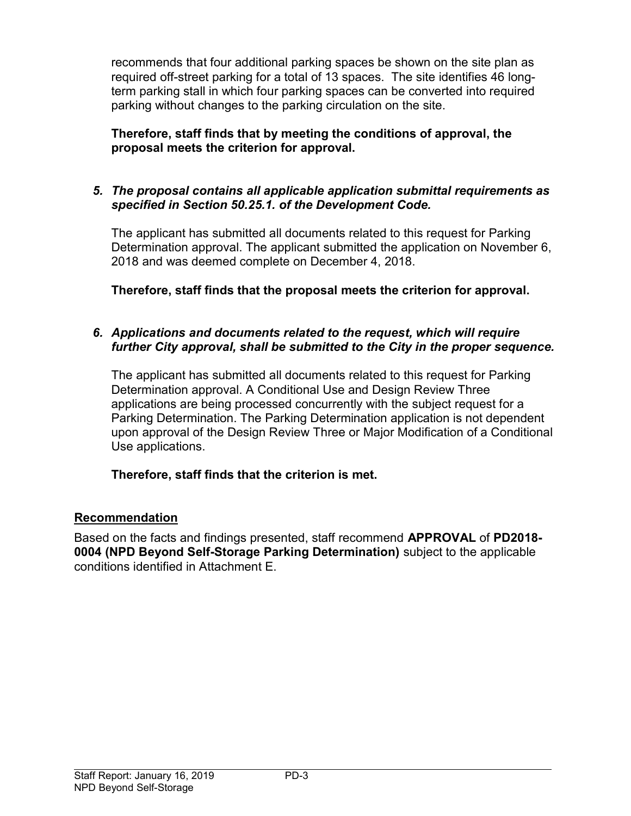recommends that four additional parking spaces be shown on the site plan as required off-street parking for a total of 13 spaces. The site identifies 46 longterm parking stall in which four parking spaces can be converted into required parking without changes to the parking circulation on the site.

# Therefore, staff finds that by meeting the conditions of approval, the proposal meets the criterion for approval.

# 5. The proposal contains all applicable application submittal requirements as specified in Section 50.25.1. of the Development Code.

The applicant has submitted all documents related to this request for Parking Determination approval. The applicant submitted the application on November 6, 2018 and was deemed complete on December 4, 2018.

Therefore, staff finds that the proposal meets the criterion for approval.

# 6. Applications and documents related to the request, which will require further City approval, shall be submitted to the City in the proper sequence.

The applicant has submitted all documents related to this request for Parking Determination approval. A Conditional Use and Design Review Three applications are being processed concurrently with the subject request for a Parking Determination. The Parking Determination application is not dependent upon approval of the Design Review Three or Major Modification of a Conditional Use applications.

# Therefore, staff finds that the criterion is met.

# Recommendation

Based on the facts and findings presented, staff recommend APPROVAL of PD2018- 0004 (NPD Beyond Self-Storage Parking Determination) subject to the applicable conditions identified in Attachment E.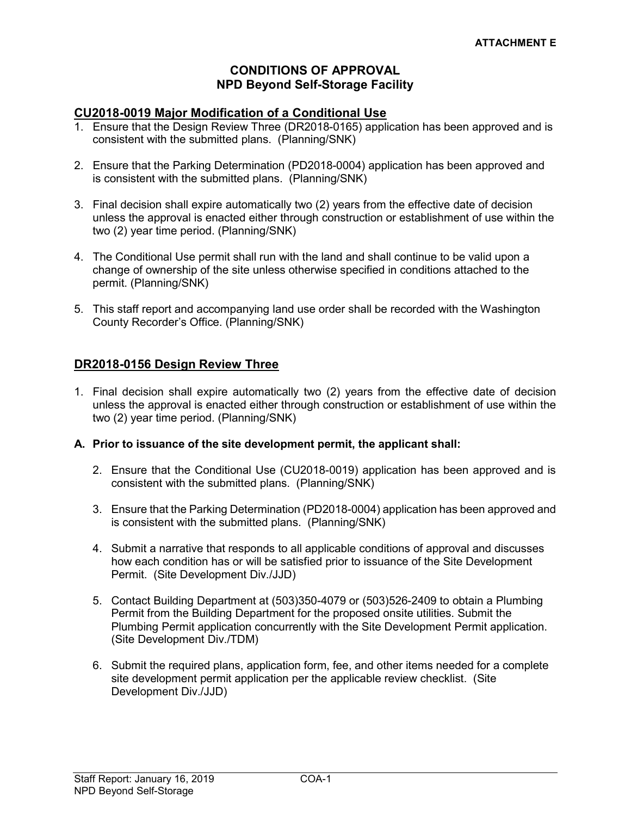#### CONDITIONS OF APPROVAL NPD Beyond Self-Storage Facility

#### CU2018-0019 Major Modification of a Conditional Use

- 1. Ensure that the Design Review Three (DR2018-0165) application has been approved and is consistent with the submitted plans. (Planning/SNK)
- 2. Ensure that the Parking Determination (PD2018-0004) application has been approved and is consistent with the submitted plans. (Planning/SNK)
- 3. Final decision shall expire automatically two (2) years from the effective date of decision unless the approval is enacted either through construction or establishment of use within the two (2) year time period. (Planning/SNK)
- 4. The Conditional Use permit shall run with the land and shall continue to be valid upon a change of ownership of the site unless otherwise specified in conditions attached to the permit. (Planning/SNK)
- 5. This staff report and accompanying land use order shall be recorded with the Washington County Recorder's Office. (Planning/SNK)

#### DR2018-0156 Design Review Three

1. Final decision shall expire automatically two (2) years from the effective date of decision unless the approval is enacted either through construction or establishment of use within the two (2) year time period. (Planning/SNK)

#### A. Prior to issuance of the site development permit, the applicant shall:

- 2. Ensure that the Conditional Use (CU2018-0019) application has been approved and is consistent with the submitted plans. (Planning/SNK)
- 3. Ensure that the Parking Determination (PD2018-0004) application has been approved and is consistent with the submitted plans. (Planning/SNK)
- 4. Submit a narrative that responds to all applicable conditions of approval and discusses how each condition has or will be satisfied prior to issuance of the Site Development Permit. (Site Development Div./JJD)
- 5. Contact Building Department at (503)350-4079 or (503)526-2409 to obtain a Plumbing Permit from the Building Department for the proposed onsite utilities. Submit the Plumbing Permit application concurrently with the Site Development Permit application. (Site Development Div./TDM)
- 6. Submit the required plans, application form, fee, and other items needed for a complete site development permit application per the applicable review checklist. (Site Development Div./JJD)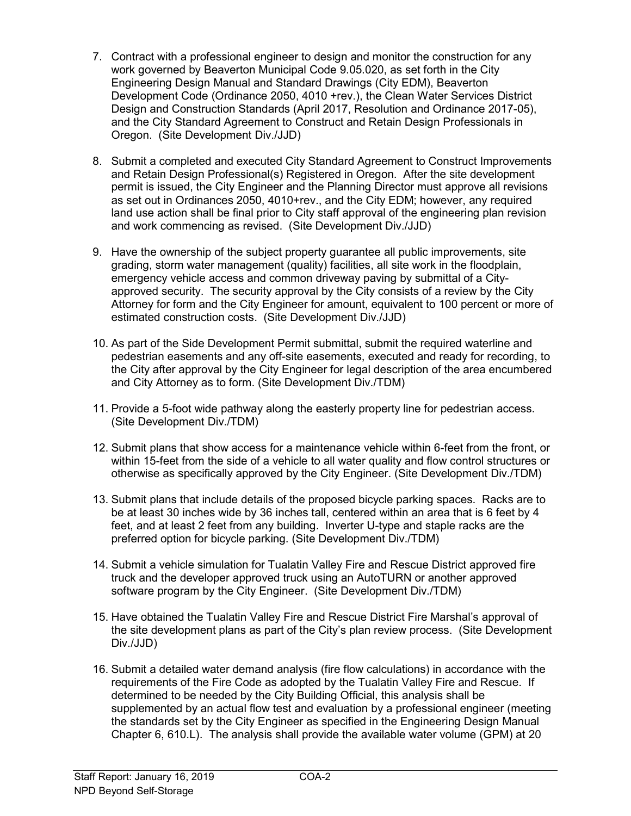- 7. Contract with a professional engineer to design and monitor the construction for any work governed by Beaverton Municipal Code 9.05.020, as set forth in the City Engineering Design Manual and Standard Drawings (City EDM), Beaverton Development Code (Ordinance 2050, 4010 +rev.), the Clean Water Services District Design and Construction Standards (April 2017, Resolution and Ordinance 2017-05), and the City Standard Agreement to Construct and Retain Design Professionals in Oregon. (Site Development Div./JJD)
- 8. Submit a completed and executed City Standard Agreement to Construct Improvements and Retain Design Professional(s) Registered in Oregon. After the site development permit is issued, the City Engineer and the Planning Director must approve all revisions as set out in Ordinances 2050, 4010+rev., and the City EDM; however, any required land use action shall be final prior to City staff approval of the engineering plan revision and work commencing as revised. (Site Development Div./JJD)
- 9. Have the ownership of the subject property guarantee all public improvements, site grading, storm water management (quality) facilities, all site work in the floodplain, emergency vehicle access and common driveway paving by submittal of a Cityapproved security. The security approval by the City consists of a review by the City Attorney for form and the City Engineer for amount, equivalent to 100 percent or more of estimated construction costs. (Site Development Div./JJD)
- 10. As part of the Side Development Permit submittal, submit the required waterline and pedestrian easements and any off-site easements, executed and ready for recording, to the City after approval by the City Engineer for legal description of the area encumbered and City Attorney as to form. (Site Development Div./TDM)
- 11. Provide a 5-foot wide pathway along the easterly property line for pedestrian access. (Site Development Div./TDM)
- 12. Submit plans that show access for a maintenance vehicle within 6-feet from the front, or within 15-feet from the side of a vehicle to all water quality and flow control structures or otherwise as specifically approved by the City Engineer. (Site Development Div./TDM)
- 13. Submit plans that include details of the proposed bicycle parking spaces. Racks are to be at least 30 inches wide by 36 inches tall, centered within an area that is 6 feet by 4 feet, and at least 2 feet from any building. Inverter U-type and staple racks are the preferred option for bicycle parking. (Site Development Div./TDM)
- 14. Submit a vehicle simulation for Tualatin Valley Fire and Rescue District approved fire truck and the developer approved truck using an AutoTURN or another approved software program by the City Engineer. (Site Development Div./TDM)
- 15. Have obtained the Tualatin Valley Fire and Rescue District Fire Marshal's approval of the site development plans as part of the City's plan review process. (Site Development Div./JJD)
- 16. Submit a detailed water demand analysis (fire flow calculations) in accordance with the requirements of the Fire Code as adopted by the Tualatin Valley Fire and Rescue. If determined to be needed by the City Building Official, this analysis shall be supplemented by an actual flow test and evaluation by a professional engineer (meeting the standards set by the City Engineer as specified in the Engineering Design Manual Chapter 6, 610.L). The analysis shall provide the available water volume (GPM) at 20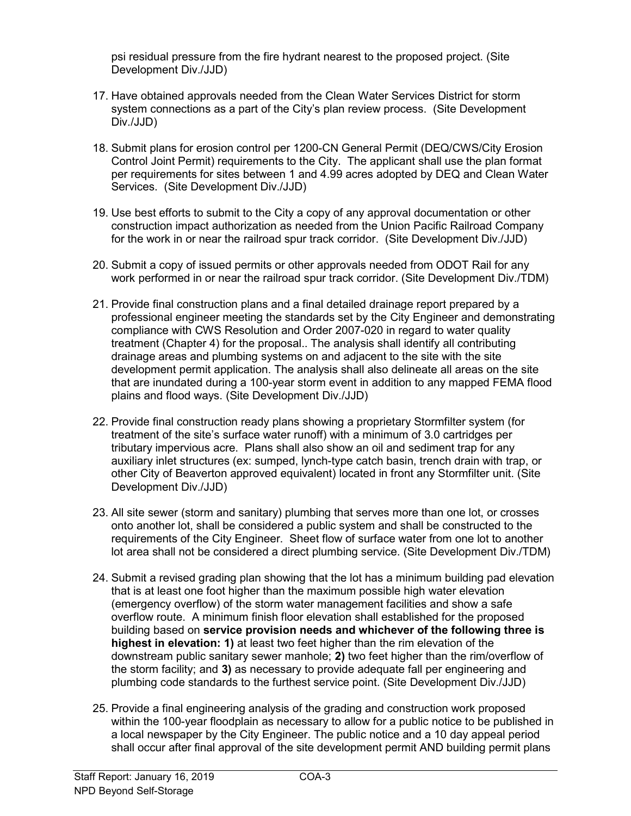psi residual pressure from the fire hydrant nearest to the proposed project. (Site Development Div./JJD)

- 17. Have obtained approvals needed from the Clean Water Services District for storm system connections as a part of the City's plan review process. (Site Development Div./JJD)
- 18. Submit plans for erosion control per 1200-CN General Permit (DEQ/CWS/City Erosion Control Joint Permit) requirements to the City. The applicant shall use the plan format per requirements for sites between 1 and 4.99 acres adopted by DEQ and Clean Water Services. (Site Development Div./JJD)
- 19. Use best efforts to submit to the City a copy of any approval documentation or other construction impact authorization as needed from the Union Pacific Railroad Company for the work in or near the railroad spur track corridor. (Site Development Div./JJD)
- 20. Submit a copy of issued permits or other approvals needed from ODOT Rail for any work performed in or near the railroad spur track corridor. (Site Development Div./TDM)
- 21. Provide final construction plans and a final detailed drainage report prepared by a professional engineer meeting the standards set by the City Engineer and demonstrating compliance with CWS Resolution and Order 2007-020 in regard to water quality treatment (Chapter 4) for the proposal.. The analysis shall identify all contributing drainage areas and plumbing systems on and adjacent to the site with the site development permit application. The analysis shall also delineate all areas on the site that are inundated during a 100-year storm event in addition to any mapped FEMA flood plains and flood ways. (Site Development Div./JJD)
- 22. Provide final construction ready plans showing a proprietary Stormfilter system (for treatment of the site's surface water runoff) with a minimum of 3.0 cartridges per tributary impervious acre. Plans shall also show an oil and sediment trap for any auxiliary inlet structures (ex: sumped, lynch-type catch basin, trench drain with trap, or other City of Beaverton approved equivalent) located in front any Stormfilter unit. (Site Development Div./JJD)
- 23. All site sewer (storm and sanitary) plumbing that serves more than one lot, or crosses onto another lot, shall be considered a public system and shall be constructed to the requirements of the City Engineer. Sheet flow of surface water from one lot to another lot area shall not be considered a direct plumbing service. (Site Development Div./TDM)
- 24. Submit a revised grading plan showing that the lot has a minimum building pad elevation that is at least one foot higher than the maximum possible high water elevation (emergency overflow) of the storm water management facilities and show a safe overflow route. A minimum finish floor elevation shall established for the proposed building based on service provision needs and whichever of the following three is highest in elevation: 1) at least two feet higher than the rim elevation of the downstream public sanitary sewer manhole; 2) two feet higher than the rim/overflow of the storm facility; and 3) as necessary to provide adequate fall per engineering and plumbing code standards to the furthest service point. (Site Development Div./JJD)
- 25. Provide a final engineering analysis of the grading and construction work proposed within the 100-year floodplain as necessary to allow for a public notice to be published in a local newspaper by the City Engineer. The public notice and a 10 day appeal period shall occur after final approval of the site development permit AND building permit plans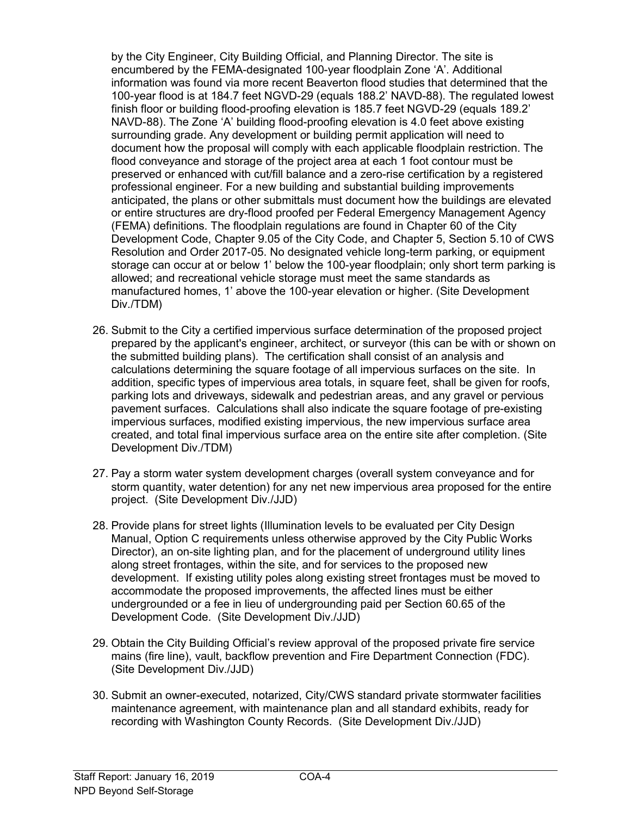by the City Engineer, City Building Official, and Planning Director. The site is encumbered by the FEMA-designated 100-year floodplain Zone 'A'. Additional information was found via more recent Beaverton flood studies that determined that the 100-year flood is at 184.7 feet NGVD-29 (equals 188.2' NAVD-88). The regulated lowest finish floor or building flood-proofing elevation is 185.7 feet NGVD-29 (equals 189.2' NAVD-88). The Zone 'A' building flood-proofing elevation is 4.0 feet above existing surrounding grade. Any development or building permit application will need to document how the proposal will comply with each applicable floodplain restriction. The flood conveyance and storage of the project area at each 1 foot contour must be preserved or enhanced with cut/fill balance and a zero-rise certification by a registered professional engineer. For a new building and substantial building improvements anticipated, the plans or other submittals must document how the buildings are elevated or entire structures are dry-flood proofed per Federal Emergency Management Agency (FEMA) definitions. The floodplain regulations are found in Chapter 60 of the City Development Code, Chapter 9.05 of the City Code, and Chapter 5, Section 5.10 of CWS Resolution and Order 2017-05. No designated vehicle long-term parking, or equipment storage can occur at or below 1' below the 100-year floodplain; only short term parking is allowed; and recreational vehicle storage must meet the same standards as manufactured homes, 1' above the 100-year elevation or higher. (Site Development Div./TDM)

- 26. Submit to the City a certified impervious surface determination of the proposed project prepared by the applicant's engineer, architect, or surveyor (this can be with or shown on the submitted building plans). The certification shall consist of an analysis and calculations determining the square footage of all impervious surfaces on the site. In addition, specific types of impervious area totals, in square feet, shall be given for roofs, parking lots and driveways, sidewalk and pedestrian areas, and any gravel or pervious pavement surfaces. Calculations shall also indicate the square footage of pre-existing impervious surfaces, modified existing impervious, the new impervious surface area created, and total final impervious surface area on the entire site after completion. (Site Development Div./TDM)
- 27. Pay a storm water system development charges (overall system conveyance and for storm quantity, water detention) for any net new impervious area proposed for the entire project. (Site Development Div./JJD)
- 28. Provide plans for street lights (Illumination levels to be evaluated per City Design Manual, Option C requirements unless otherwise approved by the City Public Works Director), an on-site lighting plan, and for the placement of underground utility lines along street frontages, within the site, and for services to the proposed new development. If existing utility poles along existing street frontages must be moved to accommodate the proposed improvements, the affected lines must be either undergrounded or a fee in lieu of undergrounding paid per Section 60.65 of the Development Code. (Site Development Div./JJD)
- 29. Obtain the City Building Official's review approval of the proposed private fire service mains (fire line), vault, backflow prevention and Fire Department Connection (FDC). (Site Development Div./JJD)
- 30. Submit an owner-executed, notarized, City/CWS standard private stormwater facilities maintenance agreement, with maintenance plan and all standard exhibits, ready for recording with Washington County Records. (Site Development Div./JJD)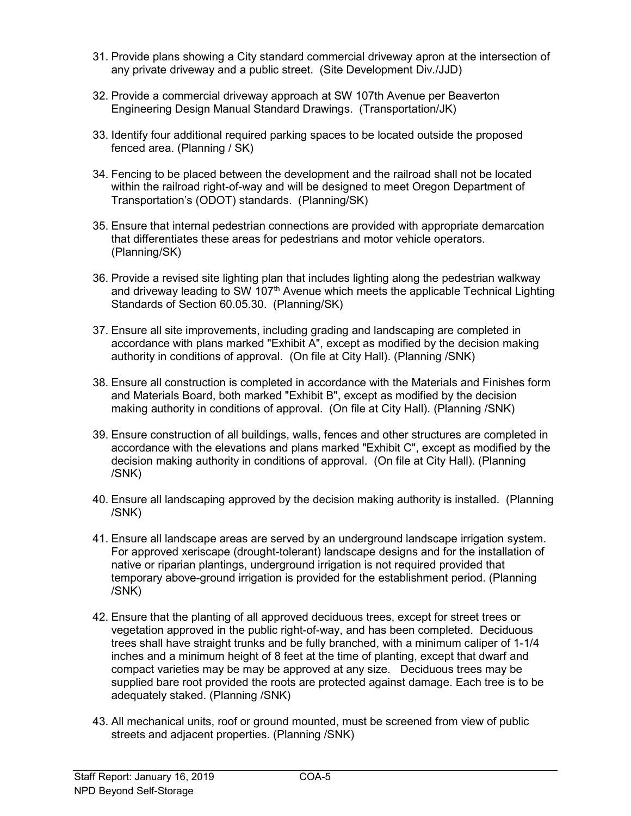- 31. Provide plans showing a City standard commercial driveway apron at the intersection of any private driveway and a public street. (Site Development Div./JJD)
- 32. Provide a commercial driveway approach at SW 107th Avenue per Beaverton Engineering Design Manual Standard Drawings. (Transportation/JK)
- 33. Identify four additional required parking spaces to be located outside the proposed fenced area. (Planning / SK)
- 34. Fencing to be placed between the development and the railroad shall not be located within the railroad right-of-way and will be designed to meet Oregon Department of Transportation's (ODOT) standards. (Planning/SK)
- 35. Ensure that internal pedestrian connections are provided with appropriate demarcation that differentiates these areas for pedestrians and motor vehicle operators. (Planning/SK)
- 36. Provide a revised site lighting plan that includes lighting along the pedestrian walkway and driveway leading to SW 107<sup>th</sup> Avenue which meets the applicable Technical Lighting Standards of Section 60.05.30. (Planning/SK)
- 37. Ensure all site improvements, including grading and landscaping are completed in accordance with plans marked "Exhibit A", except as modified by the decision making authority in conditions of approval. (On file at City Hall). (Planning /SNK)
- 38. Ensure all construction is completed in accordance with the Materials and Finishes form and Materials Board, both marked "Exhibit B", except as modified by the decision making authority in conditions of approval. (On file at City Hall). (Planning /SNK)
- 39. Ensure construction of all buildings, walls, fences and other structures are completed in accordance with the elevations and plans marked "Exhibit C", except as modified by the decision making authority in conditions of approval. (On file at City Hall). (Planning /SNK)
- 40. Ensure all landscaping approved by the decision making authority is installed. (Planning /SNK)
- 41. Ensure all landscape areas are served by an underground landscape irrigation system. For approved xeriscape (drought-tolerant) landscape designs and for the installation of native or riparian plantings, underground irrigation is not required provided that temporary above-ground irrigation is provided for the establishment period. (Planning /SNK)
- 42. Ensure that the planting of all approved deciduous trees, except for street trees or vegetation approved in the public right-of-way, and has been completed. Deciduous trees shall have straight trunks and be fully branched, with a minimum caliper of 1-1/4 inches and a minimum height of 8 feet at the time of planting, except that dwarf and compact varieties may be may be approved at any size. Deciduous trees may be supplied bare root provided the roots are protected against damage. Each tree is to be adequately staked. (Planning /SNK)
- 43. All mechanical units, roof or ground mounted, must be screened from view of public streets and adjacent properties. (Planning /SNK)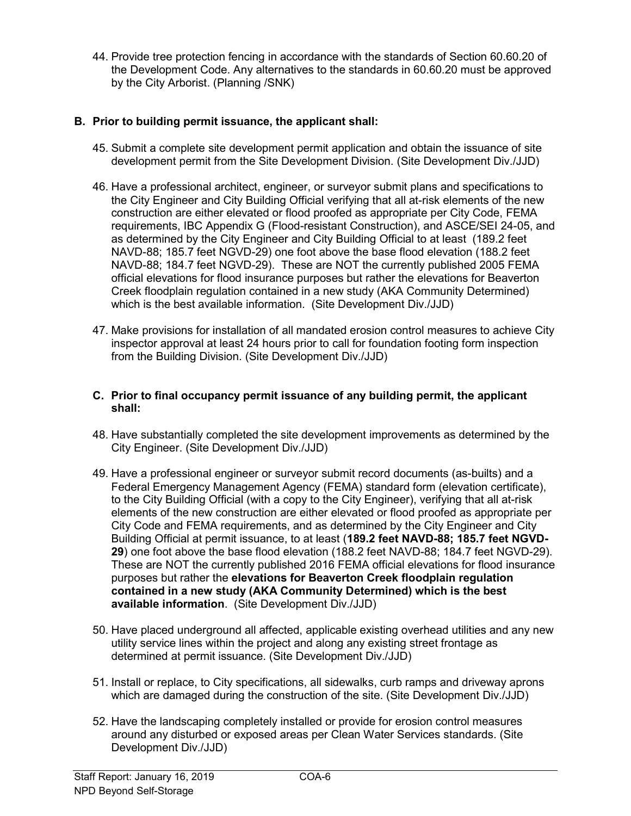44. Provide tree protection fencing in accordance with the standards of Section 60.60.20 of the Development Code. Any alternatives to the standards in 60.60.20 must be approved by the City Arborist. (Planning /SNK)

#### B. Prior to building permit issuance, the applicant shall:

- 45. Submit a complete site development permit application and obtain the issuance of site development permit from the Site Development Division. (Site Development Div./JJD)
- 46. Have a professional architect, engineer, or surveyor submit plans and specifications to the City Engineer and City Building Official verifying that all at-risk elements of the new construction are either elevated or flood proofed as appropriate per City Code, FEMA requirements, IBC Appendix G (Flood-resistant Construction), and ASCE/SEI 24-05, and as determined by the City Engineer and City Building Official to at least (189.2 feet NAVD-88; 185.7 feet NGVD-29) one foot above the base flood elevation (188.2 feet NAVD-88; 184.7 feet NGVD-29). These are NOT the currently published 2005 FEMA official elevations for flood insurance purposes but rather the elevations for Beaverton Creek floodplain regulation contained in a new study (AKA Community Determined) which is the best available information. (Site Development Div./JJD)
- 47. Make provisions for installation of all mandated erosion control measures to achieve City inspector approval at least 24 hours prior to call for foundation footing form inspection from the Building Division. (Site Development Div./JJD)

#### C. Prior to final occupancy permit issuance of any building permit, the applicant shall:

- 48. Have substantially completed the site development improvements as determined by the City Engineer. (Site Development Div./JJD)
- 49. Have a professional engineer or surveyor submit record documents (as-builts) and a Federal Emergency Management Agency (FEMA) standard form (elevation certificate), to the City Building Official (with a copy to the City Engineer), verifying that all at-risk elements of the new construction are either elevated or flood proofed as appropriate per City Code and FEMA requirements, and as determined by the City Engineer and City Building Official at permit issuance, to at least (189.2 feet NAVD-88; 185.7 feet NGVD-29) one foot above the base flood elevation (188.2 feet NAVD-88; 184.7 feet NGVD-29). These are NOT the currently published 2016 FEMA official elevations for flood insurance purposes but rather the elevations for Beaverton Creek floodplain regulation contained in a new study (AKA Community Determined) which is the best available information. (Site Development Div./JJD)
- 50. Have placed underground all affected, applicable existing overhead utilities and any new utility service lines within the project and along any existing street frontage as determined at permit issuance. (Site Development Div./JJD)
- 51. Install or replace, to City specifications, all sidewalks, curb ramps and driveway aprons which are damaged during the construction of the site. (Site Development Div./JJD)
- 52. Have the landscaping completely installed or provide for erosion control measures around any disturbed or exposed areas per Clean Water Services standards. (Site Development Div./JJD)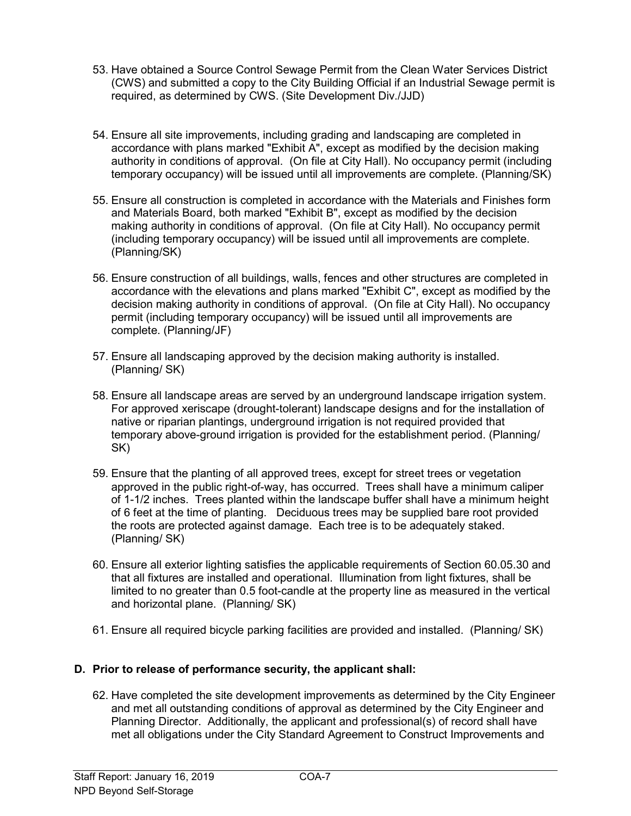- 53. Have obtained a Source Control Sewage Permit from the Clean Water Services District (CWS) and submitted a copy to the City Building Official if an Industrial Sewage permit is required, as determined by CWS. (Site Development Div./JJD)
- 54. Ensure all site improvements, including grading and landscaping are completed in accordance with plans marked "Exhibit A", except as modified by the decision making authority in conditions of approval. (On file at City Hall). No occupancy permit (including temporary occupancy) will be issued until all improvements are complete. (Planning/SK)
- 55. Ensure all construction is completed in accordance with the Materials and Finishes form and Materials Board, both marked "Exhibit B", except as modified by the decision making authority in conditions of approval. (On file at City Hall). No occupancy permit (including temporary occupancy) will be issued until all improvements are complete. (Planning/SK)
- 56. Ensure construction of all buildings, walls, fences and other structures are completed in accordance with the elevations and plans marked "Exhibit C", except as modified by the decision making authority in conditions of approval. (On file at City Hall). No occupancy permit (including temporary occupancy) will be issued until all improvements are complete. (Planning/JF)
- 57. Ensure all landscaping approved by the decision making authority is installed. (Planning/ SK)
- 58. Ensure all landscape areas are served by an underground landscape irrigation system. For approved xeriscape (drought-tolerant) landscape designs and for the installation of native or riparian plantings, underground irrigation is not required provided that temporary above-ground irrigation is provided for the establishment period. (Planning/ SK)
- 59. Ensure that the planting of all approved trees, except for street trees or vegetation approved in the public right-of-way, has occurred. Trees shall have a minimum caliper of 1-1/2 inches. Trees planted within the landscape buffer shall have a minimum height of 6 feet at the time of planting. Deciduous trees may be supplied bare root provided the roots are protected against damage. Each tree is to be adequately staked. (Planning/ SK)
- 60. Ensure all exterior lighting satisfies the applicable requirements of Section 60.05.30 and that all fixtures are installed and operational. Illumination from light fixtures, shall be limited to no greater than 0.5 foot-candle at the property line as measured in the vertical and horizontal plane. (Planning/ SK)
- 61. Ensure all required bicycle parking facilities are provided and installed. (Planning/ SK)

#### D. Prior to release of performance security, the applicant shall:

62. Have completed the site development improvements as determined by the City Engineer and met all outstanding conditions of approval as determined by the City Engineer and Planning Director. Additionally, the applicant and professional(s) of record shall have met all obligations under the City Standard Agreement to Construct Improvements and